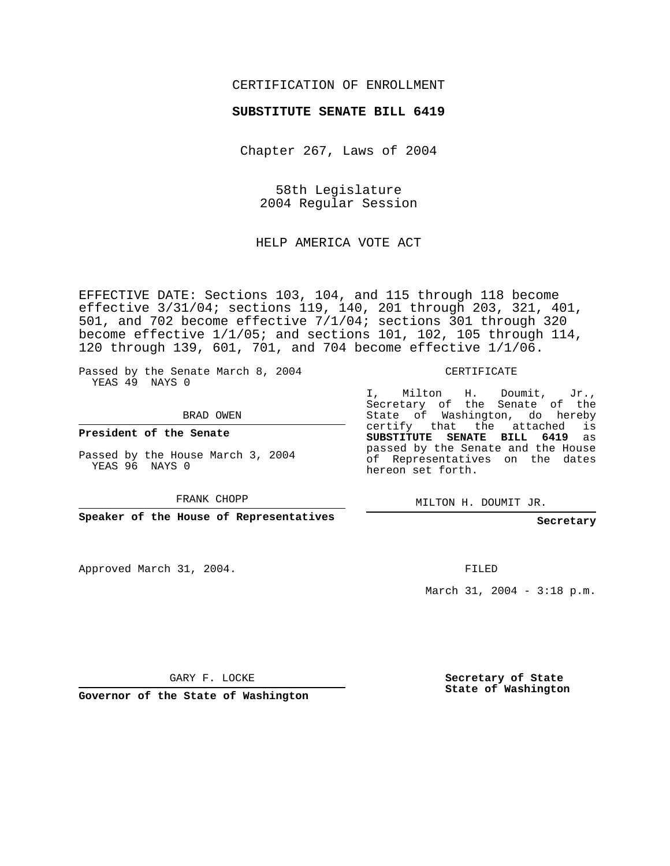#### CERTIFICATION OF ENROLLMENT

#### **SUBSTITUTE SENATE BILL 6419**

Chapter 267, Laws of 2004

58th Legislature 2004 Regular Session

HELP AMERICA VOTE ACT

EFFECTIVE DATE: Sections 103, 104, and 115 through 118 become effective 3/31/04; sections 119, 140, 201 through 203, 321, 401, 501, and 702 become effective 7/1/04; sections 301 through 320 become effective 1/1/05; and sections 101, 102, 105 through 114, 120 through 139, 601, 701, and 704 become effective 1/1/06.

Passed by the Senate March 8, 2004 YEAS 49 NAYS 0

BRAD OWEN

**President of the Senate**

Passed by the House March 3, 2004 YEAS 96 NAYS 0

FRANK CHOPP

**Speaker of the House of Representatives**

Approved March 31, 2004.

of Representatives on the dates hereon set forth.

CERTIFICATE

I, Milton H. Doumit, Jr., Secretary of the Senate of the State of Washington, do hereby certify that the attached is **SUBSTITUTE SENATE BILL 6419** as passed by the Senate and the House

MILTON H. DOUMIT JR.

**Secretary**

FILED

March 31, 2004 - 3:18 p.m.

GARY F. LOCKE

**Governor of the State of Washington**

**Secretary of State State of Washington**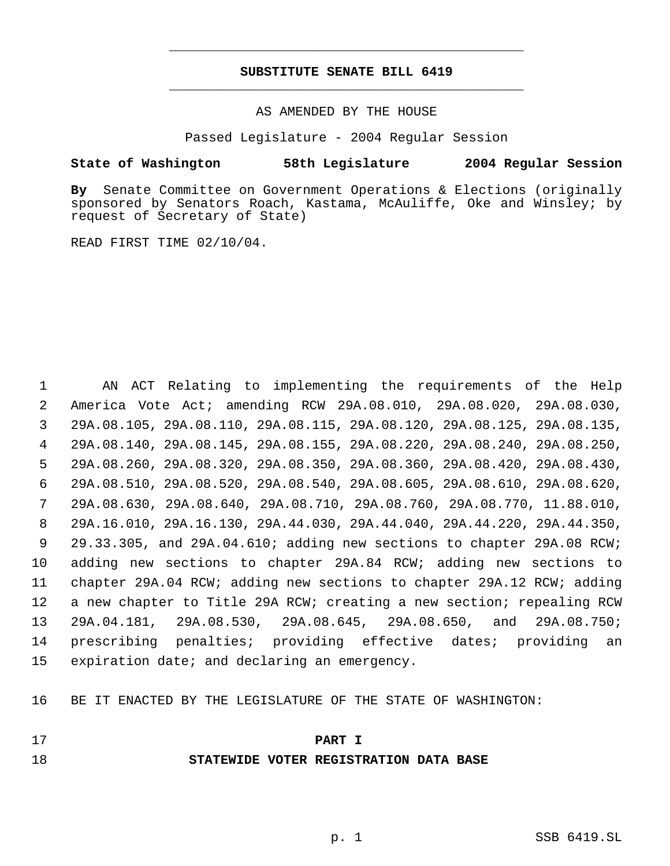## **SUBSTITUTE SENATE BILL 6419** \_\_\_\_\_\_\_\_\_\_\_\_\_\_\_\_\_\_\_\_\_\_\_\_\_\_\_\_\_\_\_\_\_\_\_\_\_\_\_\_\_\_\_\_\_

\_\_\_\_\_\_\_\_\_\_\_\_\_\_\_\_\_\_\_\_\_\_\_\_\_\_\_\_\_\_\_\_\_\_\_\_\_\_\_\_\_\_\_\_\_

#### AS AMENDED BY THE HOUSE

Passed Legislature - 2004 Regular Session

#### **State of Washington 58th Legislature 2004 Regular Session**

**By** Senate Committee on Government Operations & Elections (originally sponsored by Senators Roach, Kastama, McAuliffe, Oke and Winsley; by request of Secretary of State)

READ FIRST TIME 02/10/04.

 AN ACT Relating to implementing the requirements of the Help America Vote Act; amending RCW 29A.08.010, 29A.08.020, 29A.08.030, 29A.08.105, 29A.08.110, 29A.08.115, 29A.08.120, 29A.08.125, 29A.08.135, 29A.08.140, 29A.08.145, 29A.08.155, 29A.08.220, 29A.08.240, 29A.08.250, 29A.08.260, 29A.08.320, 29A.08.350, 29A.08.360, 29A.08.420, 29A.08.430, 29A.08.510, 29A.08.520, 29A.08.540, 29A.08.605, 29A.08.610, 29A.08.620, 29A.08.630, 29A.08.640, 29A.08.710, 29A.08.760, 29A.08.770, 11.88.010, 29A.16.010, 29A.16.130, 29A.44.030, 29A.44.040, 29A.44.220, 29A.44.350, 29.33.305, and 29A.04.610; adding new sections to chapter 29A.08 RCW; adding new sections to chapter 29A.84 RCW; adding new sections to chapter 29A.04 RCW; adding new sections to chapter 29A.12 RCW; adding a new chapter to Title 29A RCW; creating a new section; repealing RCW 29A.04.181, 29A.08.530, 29A.08.645, 29A.08.650, and 29A.08.750; prescribing penalties; providing effective dates; providing an expiration date; and declaring an emergency.

BE IT ENACTED BY THE LEGISLATURE OF THE STATE OF WASHINGTON:

#### **PART I**

**STATEWIDE VOTER REGISTRATION DATA BASE**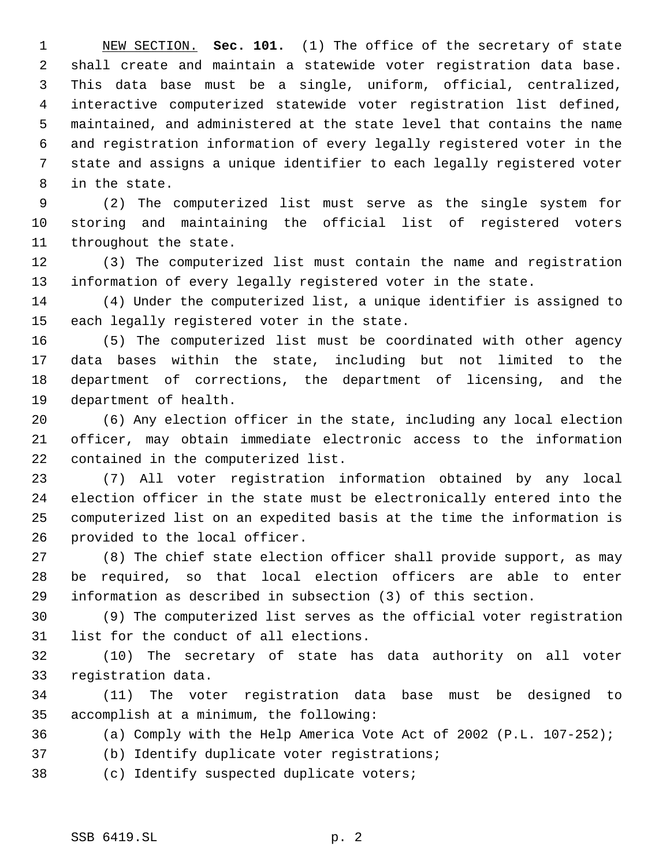NEW SECTION. **Sec. 101.** (1) The office of the secretary of state shall create and maintain a statewide voter registration data base. This data base must be a single, uniform, official, centralized, interactive computerized statewide voter registration list defined, maintained, and administered at the state level that contains the name and registration information of every legally registered voter in the state and assigns a unique identifier to each legally registered voter in the state.

 (2) The computerized list must serve as the single system for storing and maintaining the official list of registered voters throughout the state.

 (3) The computerized list must contain the name and registration information of every legally registered voter in the state.

 (4) Under the computerized list, a unique identifier is assigned to each legally registered voter in the state.

 (5) The computerized list must be coordinated with other agency data bases within the state, including but not limited to the department of corrections, the department of licensing, and the department of health.

 (6) Any election officer in the state, including any local election officer, may obtain immediate electronic access to the information contained in the computerized list.

 (7) All voter registration information obtained by any local election officer in the state must be electronically entered into the computerized list on an expedited basis at the time the information is provided to the local officer.

 (8) The chief state election officer shall provide support, as may be required, so that local election officers are able to enter information as described in subsection (3) of this section.

 (9) The computerized list serves as the official voter registration list for the conduct of all elections.

 (10) The secretary of state has data authority on all voter registration data.

 (11) The voter registration data base must be designed to accomplish at a minimum, the following:

(a) Comply with the Help America Vote Act of 2002 (P.L. 107-252);

(b) Identify duplicate voter registrations;

(c) Identify suspected duplicate voters;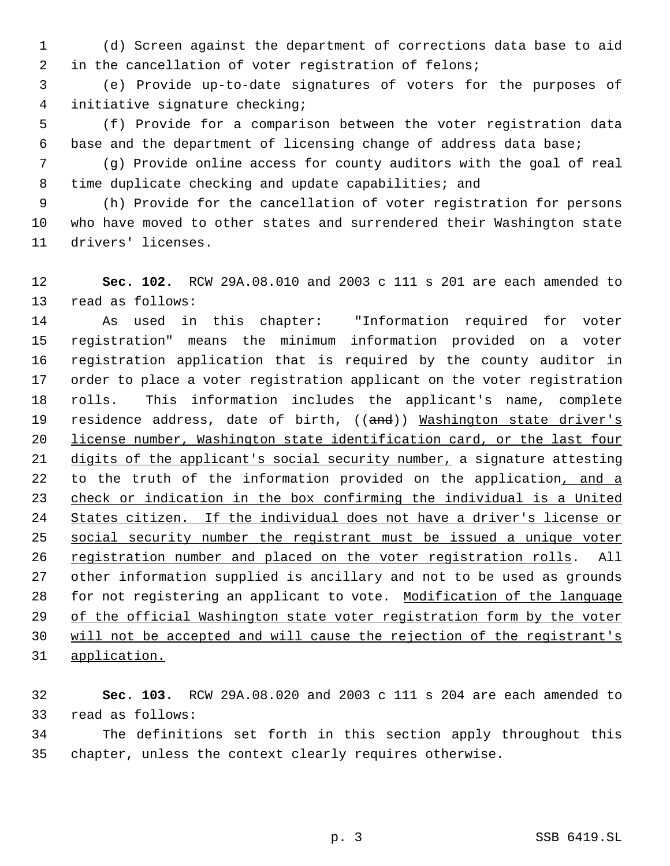(d) Screen against the department of corrections data base to aid in the cancellation of voter registration of felons;

 (e) Provide up-to-date signatures of voters for the purposes of initiative signature checking;

 (f) Provide for a comparison between the voter registration data base and the department of licensing change of address data base;

 (g) Provide online access for county auditors with the goal of real 8 time duplicate checking and update capabilities; and

 (h) Provide for the cancellation of voter registration for persons who have moved to other states and surrendered their Washington state drivers' licenses.

 **Sec. 102.** RCW 29A.08.010 and 2003 c 111 s 201 are each amended to read as follows:

 As used in this chapter: "Information required for voter registration" means the minimum information provided on a voter registration application that is required by the county auditor in order to place a voter registration applicant on the voter registration rolls. This information includes the applicant's name, complete 19 residence address, date of birth, ((and)) Washington state driver's license number, Washington state identification card, or the last four 21 digits of the applicant's social security number, a signature attesting 22 to the truth of the information provided on the application, and a check or indication in the box confirming the individual is a United 24 States citizen. If the individual does not have a driver's license or social security number the registrant must be issued a unique voter 26 registration number and placed on the voter registration rolls. All other information supplied is ancillary and not to be used as grounds 28 for not registering an applicant to vote. Modification of the language 29 of the official Washington state voter registration form by the voter will not be accepted and will cause the rejection of the registrant's application.

 **Sec. 103.** RCW 29A.08.020 and 2003 c 111 s 204 are each amended to read as follows:

 The definitions set forth in this section apply throughout this chapter, unless the context clearly requires otherwise.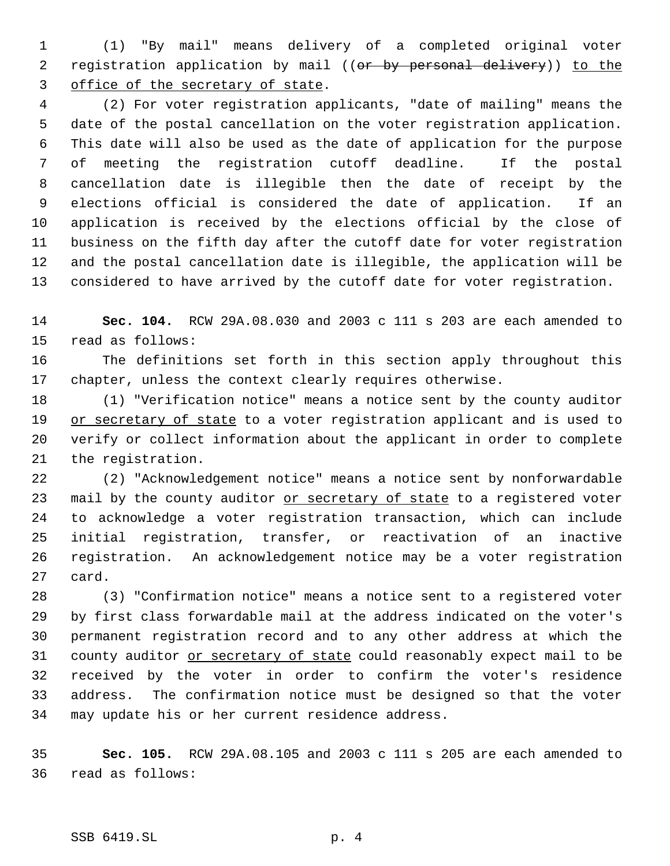(1) "By mail" means delivery of a completed original voter 2 registration application by mail ((or by personal delivery)) to the office of the secretary of state.

 (2) For voter registration applicants, "date of mailing" means the date of the postal cancellation on the voter registration application. This date will also be used as the date of application for the purpose of meeting the registration cutoff deadline. If the postal cancellation date is illegible then the date of receipt by the elections official is considered the date of application. If an application is received by the elections official by the close of business on the fifth day after the cutoff date for voter registration and the postal cancellation date is illegible, the application will be considered to have arrived by the cutoff date for voter registration.

 **Sec. 104.** RCW 29A.08.030 and 2003 c 111 s 203 are each amended to read as follows:

 The definitions set forth in this section apply throughout this chapter, unless the context clearly requires otherwise.

 (1) "Verification notice" means a notice sent by the county auditor 19 or secretary of state to a voter registration applicant and is used to verify or collect information about the applicant in order to complete the registration.

 (2) "Acknowledgement notice" means a notice sent by nonforwardable 23 mail by the county auditor or secretary of state to a registered voter to acknowledge a voter registration transaction, which can include initial registration, transfer, or reactivation of an inactive registration. An acknowledgement notice may be a voter registration card.

 (3) "Confirmation notice" means a notice sent to a registered voter by first class forwardable mail at the address indicated on the voter's permanent registration record and to any other address at which the 31 county auditor or secretary of state could reasonably expect mail to be received by the voter in order to confirm the voter's residence address. The confirmation notice must be designed so that the voter may update his or her current residence address.

 **Sec. 105.** RCW 29A.08.105 and 2003 c 111 s 205 are each amended to read as follows:

#### SSB 6419.SL p. 4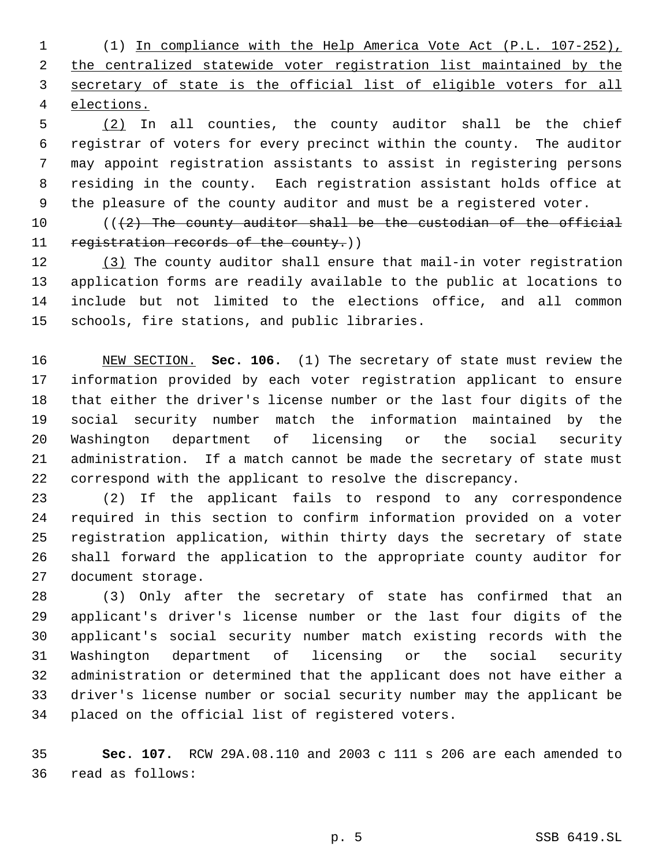(1) In compliance with the Help America Vote Act (P.L. 107-252), the centralized statewide voter registration list maintained by the secretary of state is the official list of eligible voters for all elections.

 (2) In all counties, the county auditor shall be the chief registrar of voters for every precinct within the county. The auditor may appoint registration assistants to assist in registering persons residing in the county. Each registration assistant holds office at the pleasure of the county auditor and must be a registered voter.

 $((2)$  The county auditor shall be the custodian of the official 11 registration records of the county.))

12 (3) The county auditor shall ensure that mail-in voter registration application forms are readily available to the public at locations to include but not limited to the elections office, and all common schools, fire stations, and public libraries.

 NEW SECTION. **Sec. 106.** (1) The secretary of state must review the information provided by each voter registration applicant to ensure that either the driver's license number or the last four digits of the social security number match the information maintained by the Washington department of licensing or the social security administration. If a match cannot be made the secretary of state must correspond with the applicant to resolve the discrepancy.

 (2) If the applicant fails to respond to any correspondence required in this section to confirm information provided on a voter registration application, within thirty days the secretary of state shall forward the application to the appropriate county auditor for document storage.

 (3) Only after the secretary of state has confirmed that an applicant's driver's license number or the last four digits of the applicant's social security number match existing records with the Washington department of licensing or the social security administration or determined that the applicant does not have either a driver's license number or social security number may the applicant be placed on the official list of registered voters.

 **Sec. 107.** RCW 29A.08.110 and 2003 c 111 s 206 are each amended to read as follows: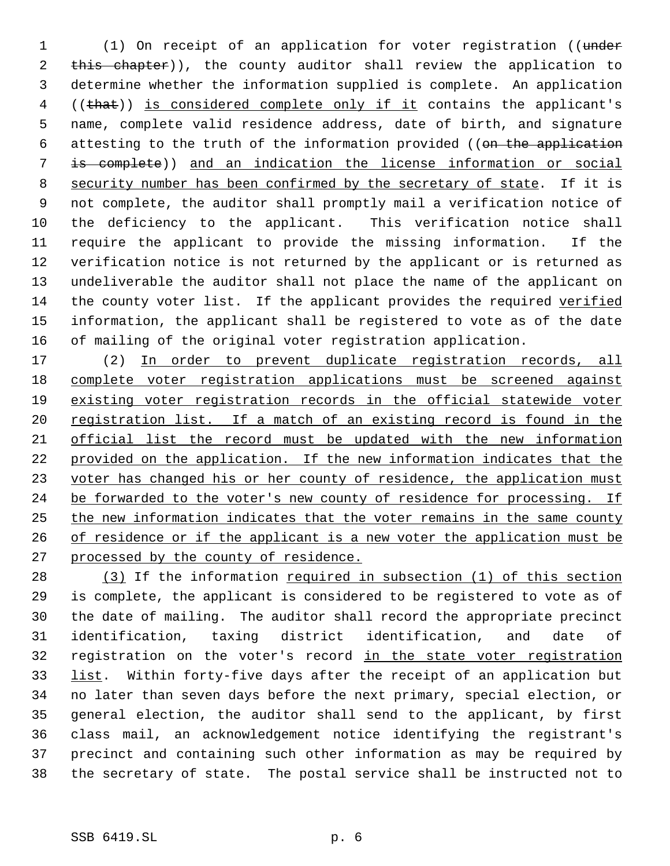1 (1) On receipt of an application for voter registration ((under 2 this chapter)), the county auditor shall review the application to determine whether the information supplied is complete. An application 4 ((that)) is considered complete only if it contains the applicant's name, complete valid residence address, date of birth, and signature 6 attesting to the truth of the information provided ((on the application is complete)) and an indication the license information or social security number has been confirmed by the secretary of state. If it is not complete, the auditor shall promptly mail a verification notice of the deficiency to the applicant. This verification notice shall require the applicant to provide the missing information. If the verification notice is not returned by the applicant or is returned as undeliverable the auditor shall not place the name of the applicant on the county voter list. If the applicant provides the required verified information, the applicant shall be registered to vote as of the date of mailing of the original voter registration application.

17 (2) In order to prevent duplicate registration records, all complete voter registration applications must be screened against existing voter registration records in the official statewide voter 20 registration list. If a match of an existing record is found in the official list the record must be updated with the new information provided on the application. If the new information indicates that the 23 voter has changed his or her county of residence, the application must 24 be forwarded to the voter's new county of residence for processing. If the new information indicates that the voter remains in the same county 26 of residence or if the applicant is a new voter the application must be 27 processed by the county of residence.

28 (3) If the information required in subsection (1) of this section is complete, the applicant is considered to be registered to vote as of the date of mailing. The auditor shall record the appropriate precinct identification, taxing district identification, and date of registration on the voter's record in the state voter registration 33 list. Within forty-five days after the receipt of an application but no later than seven days before the next primary, special election, or general election, the auditor shall send to the applicant, by first class mail, an acknowledgement notice identifying the registrant's precinct and containing such other information as may be required by the secretary of state. The postal service shall be instructed not to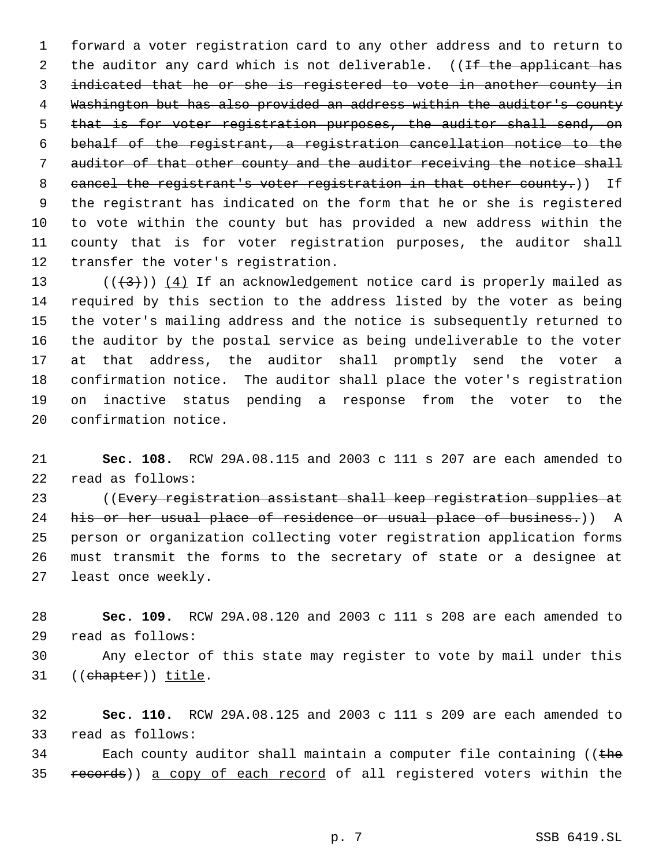forward a voter registration card to any other address and to return to 2 the auditor any card which is not deliverable. ((If the applicant has indicated that he or she is registered to vote in another county in Washington but has also provided an address within the auditor's county that is for voter registration purposes, the auditor shall send, on behalf of the registrant, a registration cancellation notice to the 7 auditor of that other county and the auditor receiving the notice shall 8 cancel the registrant's voter registration in that other county.)) If the registrant has indicated on the form that he or she is registered to vote within the county but has provided a new address within the county that is for voter registration purposes, the auditor shall transfer the voter's registration.

13 ( $(\frac{43}{})$ ) (4) If an acknowledgement notice card is properly mailed as required by this section to the address listed by the voter as being the voter's mailing address and the notice is subsequently returned to the auditor by the postal service as being undeliverable to the voter at that address, the auditor shall promptly send the voter a confirmation notice. The auditor shall place the voter's registration on inactive status pending a response from the voter to the confirmation notice.

 **Sec. 108.** RCW 29A.08.115 and 2003 c 111 s 207 are each amended to read as follows:

 ((Every registration assistant shall keep registration supplies at 24 his or her usual place of residence or usual place of business.)) A person or organization collecting voter registration application forms must transmit the forms to the secretary of state or a designee at least once weekly.

 **Sec. 109.** RCW 29A.08.120 and 2003 c 111 s 208 are each amended to read as follows:

 Any elector of this state may register to vote by mail under this 31 ((chapter)) title.

 **Sec. 110.** RCW 29A.08.125 and 2003 c 111 s 209 are each amended to read as follows:

34 Each county auditor shall maintain a computer file containing (( $t$ he 35 records)) a copy of each record of all registered voters within the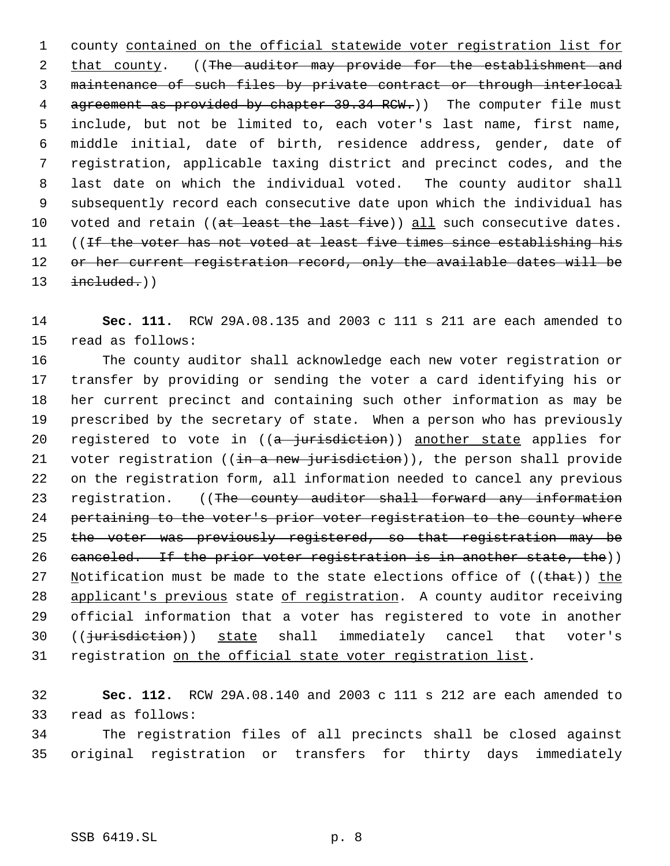county contained on the official statewide voter registration list for 2 that county. ((The auditor may provide for the establishment and maintenance of such files by private contract or through interlocal 4 agreement as provided by chapter 39.34 RCW.)) The computer file must include, but not be limited to, each voter's last name, first name, middle initial, date of birth, residence address, gender, date of registration, applicable taxing district and precinct codes, and the last date on which the individual voted. The county auditor shall subsequently record each consecutive date upon which the individual has 10 voted and retain (( $at$  least the last  $f$ ive)) all such consecutive dates. 11 ((If the voter has not voted at least five times since establishing his 12 or her current registration record, only the available dates will be  $\text{inded.}$ ))

 **Sec. 111.** RCW 29A.08.135 and 2003 c 111 s 211 are each amended to read as follows:

 The county auditor shall acknowledge each new voter registration or transfer by providing or sending the voter a card identifying his or her current precinct and containing such other information as may be prescribed by the secretary of state. When a person who has previously 20 registered to vote in  $((a - jurisdiction))$  another state applies for 21 voter registration ((in a new jurisdiction)), the person shall provide on the registration form, all information needed to cancel any previous 23 registration. ((The county auditor shall forward any information pertaining to the voter's prior voter registration to the county where the voter was previously registered, so that registration may be 26 canceled. If the prior voter registration is in another state, the)) **Notification must be made to the state elections office of ((that))** the 28 applicant's previous state of registration. A county auditor receiving official information that a voter has registered to vote in another 30 ((<del>jurisdiction</del>)) state shall immediately cancel that voter's 31 registration on the official state voter registration list.

 **Sec. 112.** RCW 29A.08.140 and 2003 c 111 s 212 are each amended to read as follows:

 The registration files of all precincts shall be closed against original registration or transfers for thirty days immediately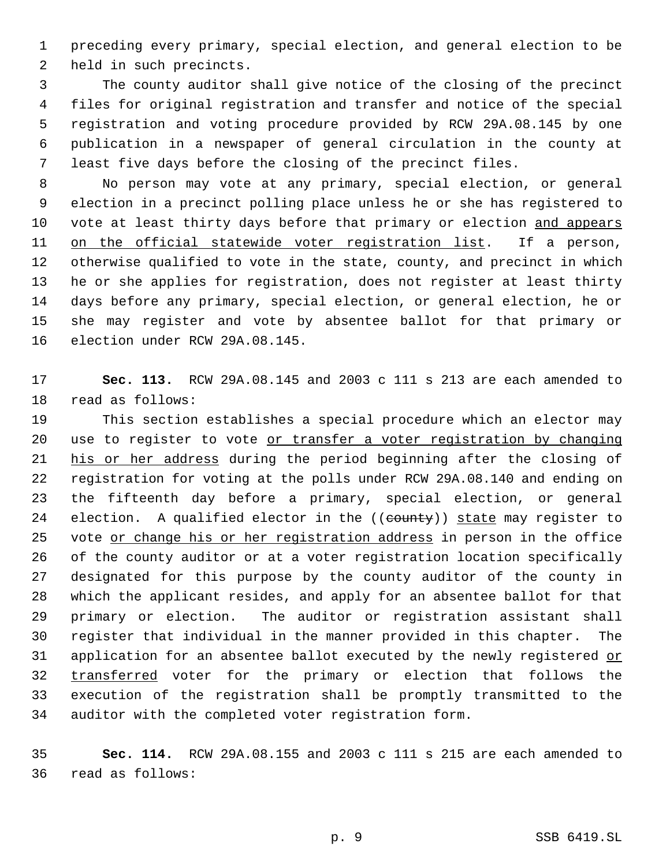preceding every primary, special election, and general election to be held in such precincts.

 The county auditor shall give notice of the closing of the precinct files for original registration and transfer and notice of the special registration and voting procedure provided by RCW 29A.08.145 by one publication in a newspaper of general circulation in the county at least five days before the closing of the precinct files.

 No person may vote at any primary, special election, or general election in a precinct polling place unless he or she has registered to 10 vote at least thirty days before that primary or election and appears 11 on the official statewide voter registration list. If a person, otherwise qualified to vote in the state, county, and precinct in which he or she applies for registration, does not register at least thirty days before any primary, special election, or general election, he or she may register and vote by absentee ballot for that primary or election under RCW 29A.08.145.

 **Sec. 113.** RCW 29A.08.145 and 2003 c 111 s 213 are each amended to read as follows:

 This section establishes a special procedure which an elector may use to register to vote or transfer a voter registration by changing 21 his or her address during the period beginning after the closing of registration for voting at the polls under RCW 29A.08.140 and ending on the fifteenth day before a primary, special election, or general 24 election. A qualified elector in the ((county)) state may register to 25 vote or change his or her registration address in person in the office of the county auditor or at a voter registration location specifically designated for this purpose by the county auditor of the county in which the applicant resides, and apply for an absentee ballot for that primary or election. The auditor or registration assistant shall register that individual in the manner provided in this chapter. The 31 application for an absentee ballot executed by the newly registered or 32 transferred voter for the primary or election that follows the execution of the registration shall be promptly transmitted to the auditor with the completed voter registration form.

 **Sec. 114.** RCW 29A.08.155 and 2003 c 111 s 215 are each amended to read as follows: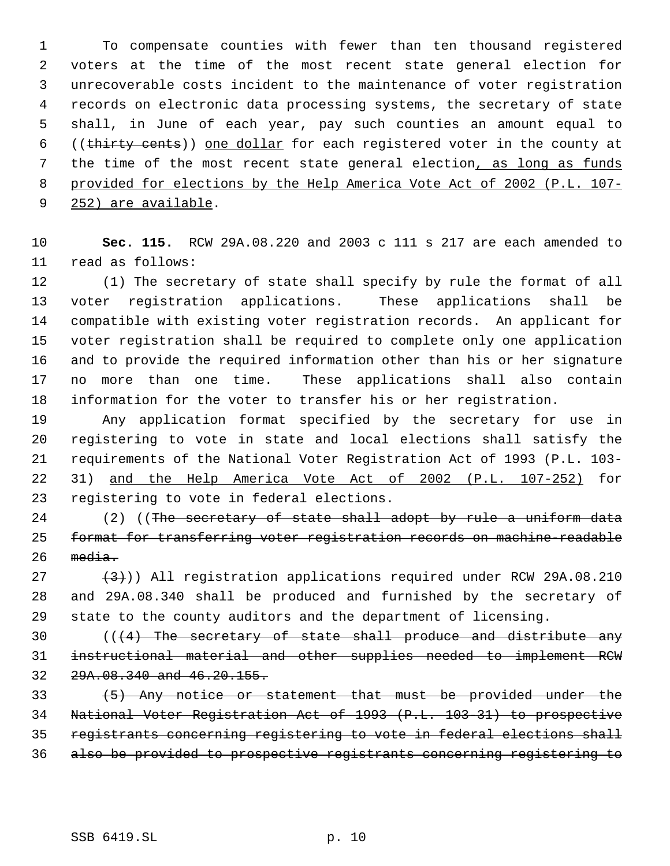To compensate counties with fewer than ten thousand registered voters at the time of the most recent state general election for unrecoverable costs incident to the maintenance of voter registration records on electronic data processing systems, the secretary of state shall, in June of each year, pay such counties an amount equal to ((thirty cents)) one dollar for each registered voter in the county at the time of the most recent state general election, as long as funds provided for elections by the Help America Vote Act of 2002 (P.L. 107- 9 252) are available.

 **Sec. 115.** RCW 29A.08.220 and 2003 c 111 s 217 are each amended to read as follows:

 (1) The secretary of state shall specify by rule the format of all voter registration applications. These applications shall be compatible with existing voter registration records. An applicant for voter registration shall be required to complete only one application and to provide the required information other than his or her signature no more than one time. These applications shall also contain information for the voter to transfer his or her registration.

 Any application format specified by the secretary for use in registering to vote in state and local elections shall satisfy the requirements of the National Voter Registration Act of 1993 (P.L. 103- 31) and the Help America Vote Act of 2002 (P.L. 107-252) for registering to vote in federal elections.

24 (2) ((The secretary of state shall adopt by rule a uniform data format for transferring voter registration records on machine-readable media.

 $(3)$  (3)) All registration applications required under RCW 29A.08.210 and 29A.08.340 shall be produced and furnished by the secretary of state to the county auditors and the department of licensing.

 $((4)$  The secretary of state shall produce and distribute any instructional material and other supplies needed to implement RCW 29A.08.340 and 46.20.155.

 (5) Any notice or statement that must be provided under the National Voter Registration Act of 1993 (P.L. 103-31) to prospective registrants concerning registering to vote in federal elections shall also be provided to prospective registrants concerning registering to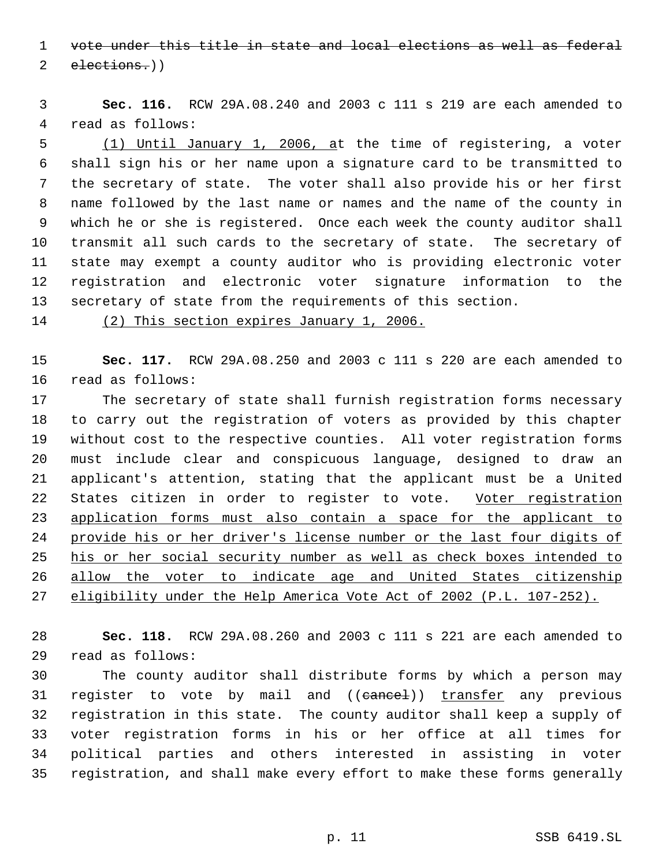vote under this title in state and local elections as well as federal elections.))

 **Sec. 116.** RCW 29A.08.240 and 2003 c 111 s 219 are each amended to read as follows:

 (1) Until January 1, 2006, at the time of registering, a voter shall sign his or her name upon a signature card to be transmitted to the secretary of state. The voter shall also provide his or her first name followed by the last name or names and the name of the county in which he or she is registered. Once each week the county auditor shall transmit all such cards to the secretary of state. The secretary of state may exempt a county auditor who is providing electronic voter registration and electronic voter signature information to the secretary of state from the requirements of this section.

(2) This section expires January 1, 2006.

 **Sec. 117.** RCW 29A.08.250 and 2003 c 111 s 220 are each amended to read as follows:

 The secretary of state shall furnish registration forms necessary to carry out the registration of voters as provided by this chapter without cost to the respective counties. All voter registration forms must include clear and conspicuous language, designed to draw an applicant's attention, stating that the applicant must be a United 22 States citizen in order to register to vote. Voter registration application forms must also contain a space for the applicant to provide his or her driver's license number or the last four digits of his or her social security number as well as check boxes intended to allow the voter to indicate age and United States citizenship eligibility under the Help America Vote Act of 2002 (P.L. 107-252).

 **Sec. 118.** RCW 29A.08.260 and 2003 c 111 s 221 are each amended to read as follows:

 The county auditor shall distribute forms by which a person may 31 register to vote by mail and ((eancel)) transfer any previous registration in this state. The county auditor shall keep a supply of voter registration forms in his or her office at all times for political parties and others interested in assisting in voter registration, and shall make every effort to make these forms generally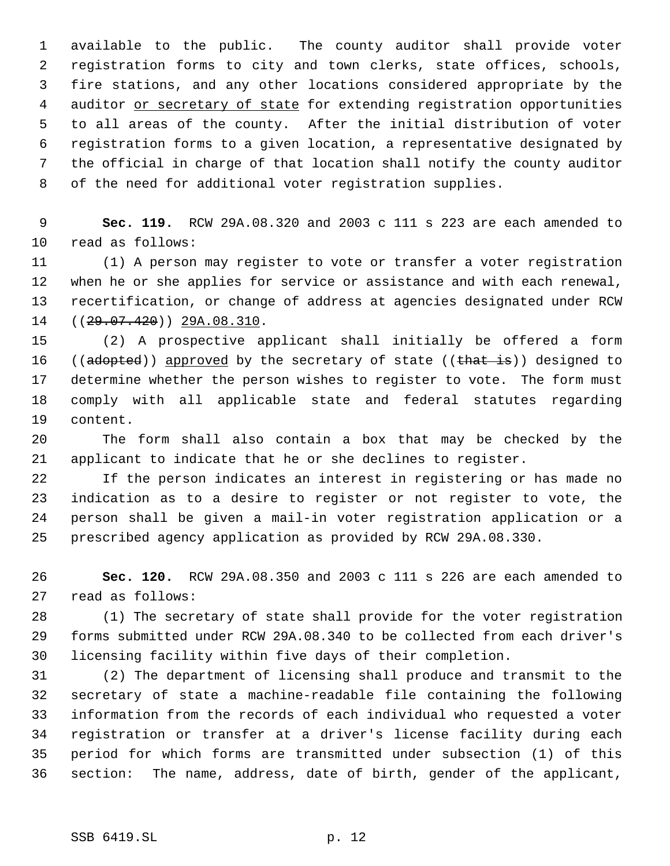available to the public. The county auditor shall provide voter registration forms to city and town clerks, state offices, schools, fire stations, and any other locations considered appropriate by the 4 auditor or secretary of state for extending registration opportunities to all areas of the county. After the initial distribution of voter registration forms to a given location, a representative designated by the official in charge of that location shall notify the county auditor of the need for additional voter registration supplies.

 **Sec. 119.** RCW 29A.08.320 and 2003 c 111 s 223 are each amended to read as follows:

 (1) A person may register to vote or transfer a voter registration when he or she applies for service or assistance and with each renewal, recertification, or change of address at agencies designated under RCW ((29.07.420)) 29A.08.310.

 (2) A prospective applicant shall initially be offered a form 16 ((adopted)) approved by the secretary of state ((that is)) designed to determine whether the person wishes to register to vote. The form must comply with all applicable state and federal statutes regarding content.

 The form shall also contain a box that may be checked by the applicant to indicate that he or she declines to register.

 If the person indicates an interest in registering or has made no indication as to a desire to register or not register to vote, the person shall be given a mail-in voter registration application or a prescribed agency application as provided by RCW 29A.08.330.

 **Sec. 120.** RCW 29A.08.350 and 2003 c 111 s 226 are each amended to read as follows:

 (1) The secretary of state shall provide for the voter registration forms submitted under RCW 29A.08.340 to be collected from each driver's licensing facility within five days of their completion.

 (2) The department of licensing shall produce and transmit to the secretary of state a machine-readable file containing the following information from the records of each individual who requested a voter registration or transfer at a driver's license facility during each period for which forms are transmitted under subsection (1) of this section: The name, address, date of birth, gender of the applicant,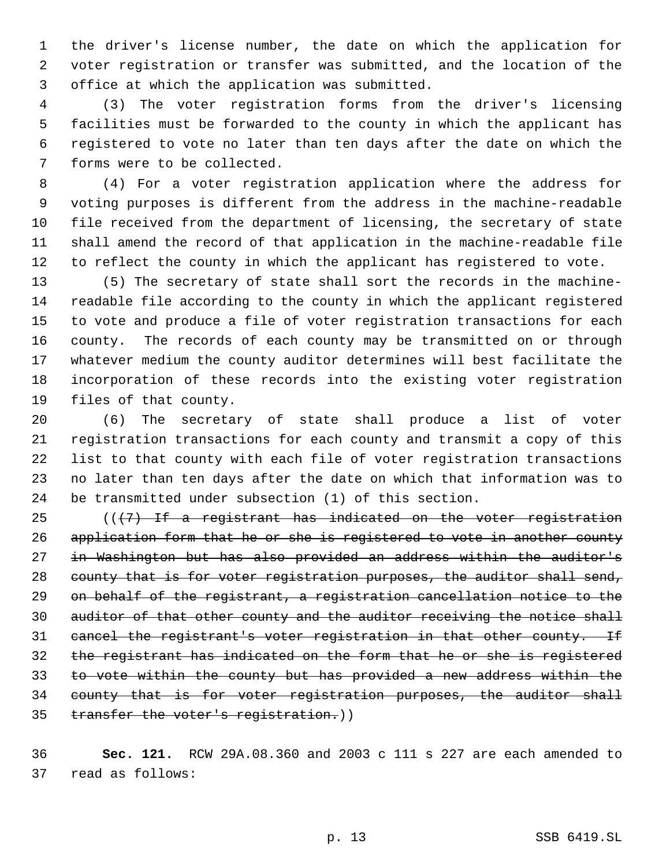the driver's license number, the date on which the application for voter registration or transfer was submitted, and the location of the office at which the application was submitted.

 (3) The voter registration forms from the driver's licensing facilities must be forwarded to the county in which the applicant has registered to vote no later than ten days after the date on which the forms were to be collected.

 (4) For a voter registration application where the address for voting purposes is different from the address in the machine-readable file received from the department of licensing, the secretary of state shall amend the record of that application in the machine-readable file to reflect the county in which the applicant has registered to vote.

 (5) The secretary of state shall sort the records in the machine- readable file according to the county in which the applicant registered to vote and produce a file of voter registration transactions for each county. The records of each county may be transmitted on or through whatever medium the county auditor determines will best facilitate the incorporation of these records into the existing voter registration files of that county.

 (6) The secretary of state shall produce a list of voter registration transactions for each county and transmit a copy of this list to that county with each file of voter registration transactions no later than ten days after the date on which that information was to be transmitted under subsection (1) of this section.

 $((17)$  If a registrant has indicated on the voter registration application form that he or she is registered to vote in another county in Washington but has also provided an address within the auditor's 28 county that is for voter registration purposes, the auditor shall send, on behalf of the registrant, a registration cancellation notice to the 30 auditor of that other county and the auditor receiving the notice shall 31 cancel the registrant's voter registration in that other county. If the registrant has indicated on the form that he or she is registered to vote within the county but has provided a new address within the 34 county that is for voter registration purposes, the auditor shall 35 transfer the voter's registration.))

 **Sec. 121.** RCW 29A.08.360 and 2003 c 111 s 227 are each amended to read as follows: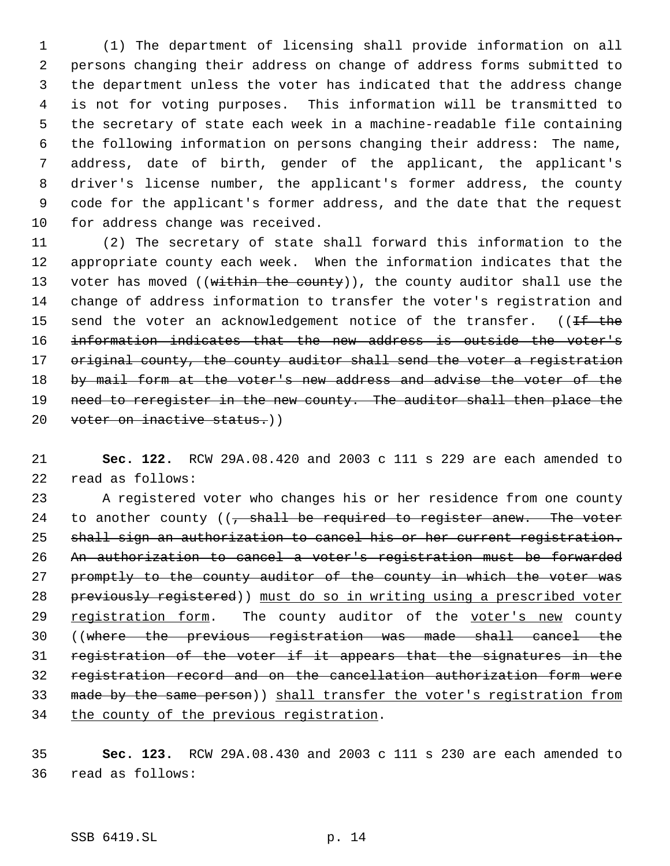(1) The department of licensing shall provide information on all persons changing their address on change of address forms submitted to the department unless the voter has indicated that the address change is not for voting purposes. This information will be transmitted to the secretary of state each week in a machine-readable file containing the following information on persons changing their address: The name, address, date of birth, gender of the applicant, the applicant's driver's license number, the applicant's former address, the county code for the applicant's former address, and the date that the request for address change was received.

 (2) The secretary of state shall forward this information to the appropriate county each week. When the information indicates that the 13 voter has moved ((within the county)), the county auditor shall use the change of address information to transfer the voter's registration and 15 send the voter an acknowledgement notice of the transfer. ((If the information indicates that the new address is outside the voter's 17 original county, the county auditor shall send the voter a registration 18 by mail form at the voter's new address and advise the voter of the 19 need to reregister in the new county. The auditor shall then place the 20 voter on inactive status.))

 **Sec. 122.** RCW 29A.08.420 and 2003 c 111 s 229 are each amended to read as follows:

 A registered voter who changes his or her residence from one county 24 to another county  $((\tau,$  shall be required to register anew. The voter shall sign an authorization to cancel his or her current registration. An authorization to cancel a voter's registration must be forwarded 27 promptly to the county auditor of the county in which the voter was previously registered)) must do so in writing using a prescribed voter 29 registration form. The county auditor of the voter's new county ((where the previous registration was made shall cancel the registration of the voter if it appears that the signatures in the registration record and on the cancellation authorization form were 33 made by the same person)) shall transfer the voter's registration from 34 the county of the previous registration.

 **Sec. 123.** RCW 29A.08.430 and 2003 c 111 s 230 are each amended to read as follows:

#### SSB 6419.SL p. 14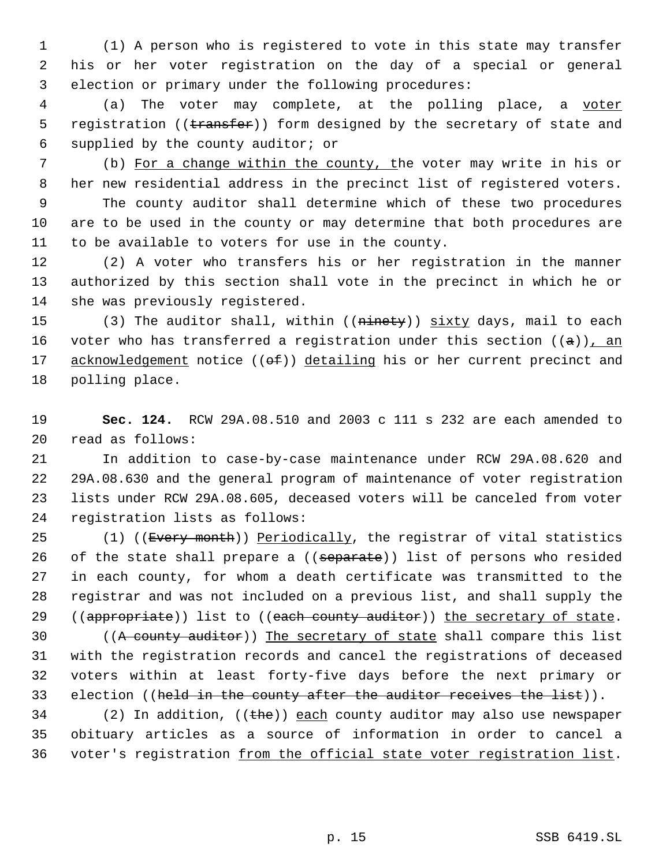(1) A person who is registered to vote in this state may transfer his or her voter registration on the day of a special or general election or primary under the following procedures:

 (a) The voter may complete, at the polling place, a voter 5 registration ((transfer)) form designed by the secretary of state and supplied by the county auditor; or

 (b) For a change within the county, the voter may write in his or her new residential address in the precinct list of registered voters. The county auditor shall determine which of these two procedures are to be used in the county or may determine that both procedures are

to be available to voters for use in the county.

 (2) A voter who transfers his or her registration in the manner authorized by this section shall vote in the precinct in which he or she was previously registered.

15 (3) The auditor shall, within ((ninety)) sixty days, mail to each 16 voter who has transferred a registration under this section  $((a))$ , an 17 acknowledgement notice ((of)) detailing his or her current precinct and polling place.

 **Sec. 124.** RCW 29A.08.510 and 2003 c 111 s 232 are each amended to read as follows:

 In addition to case-by-case maintenance under RCW 29A.08.620 and 29A.08.630 and the general program of maintenance of voter registration lists under RCW 29A.08.605, deceased voters will be canceled from voter registration lists as follows:

25 (1) ((Every month)) Periodically, the registrar of vital statistics 26 of the state shall prepare a ((separate)) list of persons who resided in each county, for whom a death certificate was transmitted to the registrar and was not included on a previous list, and shall supply the 29 ((appropriate)) list to ((each county auditor)) the secretary of state.

30 ((A county auditor)) The secretary of state shall compare this list with the registration records and cancel the registrations of deceased voters within at least forty-five days before the next primary or 33 election ((held in the county after the auditor receives the list)).

34 (2) In addition,  $((the h e)$  each county auditor may also use newspaper obituary articles as a source of information in order to cancel a 36 voter's registration from the official state voter registration list.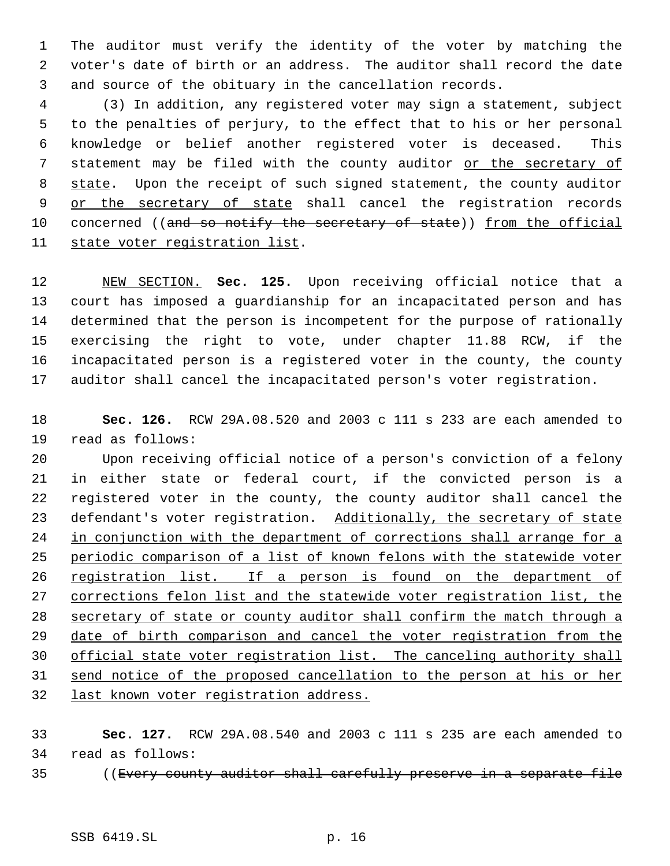The auditor must verify the identity of the voter by matching the voter's date of birth or an address. The auditor shall record the date and source of the obituary in the cancellation records.

 (3) In addition, any registered voter may sign a statement, subject to the penalties of perjury, to the effect that to his or her personal knowledge or belief another registered voter is deceased. This 7 statement may be filed with the county auditor or the secretary of 8 state. Upon the receipt of such signed statement, the county auditor 9 or the secretary of state shall cancel the registration records 10 concerned ((and so notify the secretary of state)) from the official state voter registration list.

 NEW SECTION. **Sec. 125.** Upon receiving official notice that a court has imposed a guardianship for an incapacitated person and has determined that the person is incompetent for the purpose of rationally exercising the right to vote, under chapter 11.88 RCW, if the incapacitated person is a registered voter in the county, the county auditor shall cancel the incapacitated person's voter registration.

 **Sec. 126.** RCW 29A.08.520 and 2003 c 111 s 233 are each amended to read as follows:

 Upon receiving official notice of a person's conviction of a felony in either state or federal court, if the convicted person is a registered voter in the county, the county auditor shall cancel the 23 defendant's voter registration. Additionally, the secretary of state 24 in conjunction with the department of corrections shall arrange for a periodic comparison of a list of known felons with the statewide voter 26 registration list. If a person is found on the department of 27 corrections felon list and the statewide voter registration list, the 28 secretary of state or county auditor shall confirm the match through a 29 date of birth comparison and cancel the voter registration from the official state voter registration list. The canceling authority shall send notice of the proposed cancellation to the person at his or her last known voter registration address.

 **Sec. 127.** RCW 29A.08.540 and 2003 c 111 s 235 are each amended to read as follows:

35 ((Every county auditor shall carefully preserve in a separate file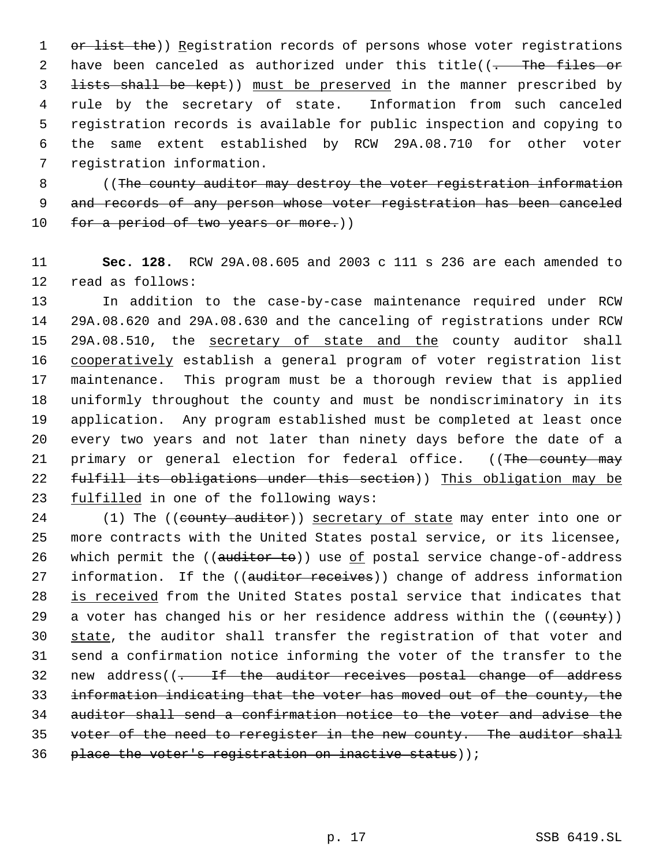1 or list the)) Registration records of persons whose voter registrations 2 have been canceled as authorized under this title((- The files or 3 <del>lists shall be kept</del>)) must be preserved in the manner prescribed by 4 rule by the secretary of state. Information from such canceled 5 registration records is available for public inspection and copying to 6 the same extent established by RCW 29A.08.710 for other voter 7 registration information.

8 ((The county auditor may destroy the voter registration information 9 and records of any person whose voter registration has been canceled 10 for a period of two years or more.))

11 **Sec. 128.** RCW 29A.08.605 and 2003 c 111 s 236 are each amended to 12 read as follows:

 In addition to the case-by-case maintenance required under RCW 29A.08.620 and 29A.08.630 and the canceling of registrations under RCW 15 29A.08.510, the secretary of state and the county auditor shall cooperatively establish a general program of voter registration list maintenance. This program must be a thorough review that is applied uniformly throughout the county and must be nondiscriminatory in its application. Any program established must be completed at least once every two years and not later than ninety days before the date of a 21 primary or general election for federal office. ((The county may fulfill its obligations under this section)) This obligation may be 23 fulfilled in one of the following ways:

24 (1) The ((county auditor)) secretary of state may enter into one or 25 more contracts with the United States postal service, or its licensee, 26 which permit the ((auditor to)) use of postal service change-of-address 27 information. If the ((auditor receives)) change of address information 28 is received from the United States postal service that indicates that 29 a voter has changed his or her residence address within the ((county)) 30 state, the auditor shall transfer the registration of that voter and 31 send a confirmation notice informing the voter of the transfer to the 32 new address((- If the auditor receives postal change of address 33 information indicating that the voter has moved out of the county, the 34 auditor shall send a confirmation notice to the voter and advise the 35 voter of the need to reregister in the new county. The auditor shall 36 place the voter's registration on inactive status));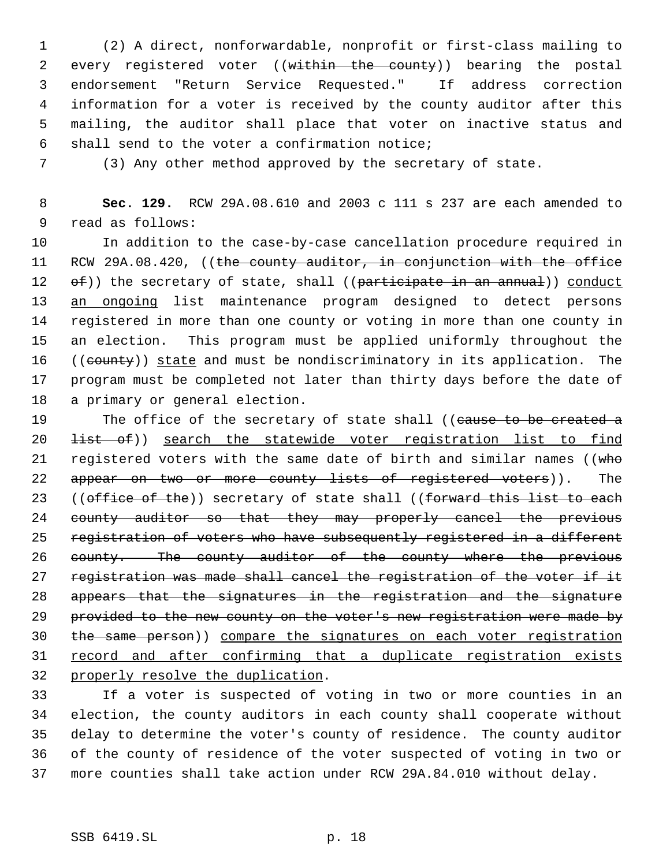(2) A direct, nonforwardable, nonprofit or first-class mailing to 2 every registered voter ((within the county)) bearing the postal endorsement "Return Service Requested." If address correction information for a voter is received by the county auditor after this mailing, the auditor shall place that voter on inactive status and shall send to the voter a confirmation notice;

(3) Any other method approved by the secretary of state.

 **Sec. 129.** RCW 29A.08.610 and 2003 c 111 s 237 are each amended to read as follows:

 In addition to the case-by-case cancellation procedure required in 11 RCW 29A.08.420, ((the county auditor, in conjunction with the office 12 of)) the secretary of state, shall ((participate in an annual)) conduct an ongoing list maintenance program designed to detect persons registered in more than one county or voting in more than one county in an election. This program must be applied uniformly throughout the 16 ((county)) state and must be nondiscriminatory in its application. The program must be completed not later than thirty days before the date of a primary or general election.

19 The office of the secretary of state shall ((cause to be created a 20 <del>list of</del>)) search the statewide voter registration list to find 21 registered voters with the same date of birth and similar names (( $who$ ) 22 appear on two or more county lists of registered voters)). The 23 ((office of the)) secretary of state shall ((forward this list to each county auditor so that they may properly cancel the previous 25 registration of voters who have subsequently registered in a different 26 county. The county auditor of the county where the previous 27 registration was made shall cancel the registration of the voter if it appears that the signatures in the registration and the signature 29 provided to the new county on the voter's new registration were made by the same person)) compare the signatures on each voter registration record and after confirming that a duplicate registration exists properly resolve the duplication.

 If a voter is suspected of voting in two or more counties in an election, the county auditors in each county shall cooperate without delay to determine the voter's county of residence. The county auditor of the county of residence of the voter suspected of voting in two or more counties shall take action under RCW 29A.84.010 without delay.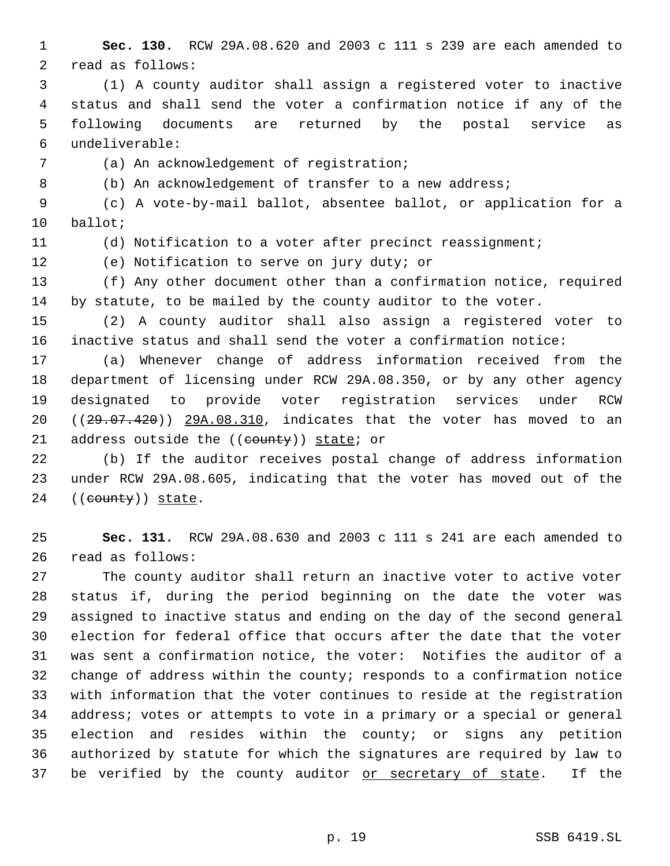- **Sec. 130.** RCW 29A.08.620 and 2003 c 111 s 239 are each amended to read as follows:
- (1) A county auditor shall assign a registered voter to inactive status and shall send the voter a confirmation notice if any of the following documents are returned by the postal service as undeliverable:
- 
- (a) An acknowledgement of registration;
- (b) An acknowledgement of transfer to a new address;
- (c) A vote-by-mail ballot, absentee ballot, or application for a ballot;
- 
- (d) Notification to a voter after precinct reassignment;
- (e) Notification to serve on jury duty; or
- (f) Any other document other than a confirmation notice, required by statute, to be mailed by the county auditor to the voter.
- (2) A county auditor shall also assign a registered voter to inactive status and shall send the voter a confirmation notice:
- (a) Whenever change of address information received from the department of licensing under RCW 29A.08.350, or by any other agency designated to provide voter registration services under RCW  $((29.07.420))$   $29A.08.310$ , indicates that the voter has moved to an 21 address outside the ((county)) state; or
- (b) If the auditor receives postal change of address information under RCW 29A.08.605, indicating that the voter has moved out of the 24 ((county)) state.
- **Sec. 131.** RCW 29A.08.630 and 2003 c 111 s 241 are each amended to read as follows:
- The county auditor shall return an inactive voter to active voter status if, during the period beginning on the date the voter was assigned to inactive status and ending on the day of the second general election for federal office that occurs after the date that the voter was sent a confirmation notice, the voter: Notifies the auditor of a change of address within the county; responds to a confirmation notice with information that the voter continues to reside at the registration address; votes or attempts to vote in a primary or a special or general election and resides within the county; or signs any petition authorized by statute for which the signatures are required by law to 37 be verified by the county auditor or secretary of state. If the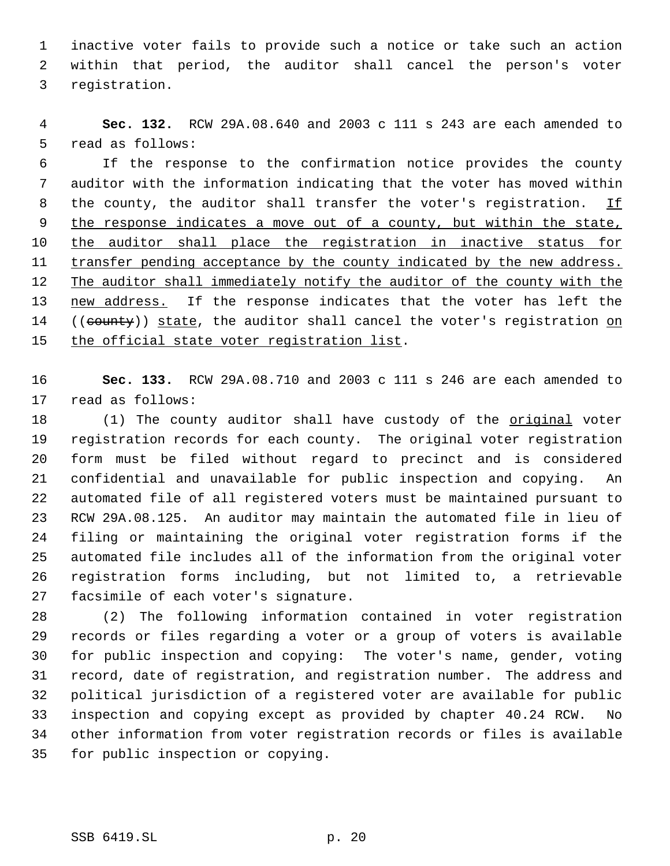inactive voter fails to provide such a notice or take such an action within that period, the auditor shall cancel the person's voter registration.

 **Sec. 132.** RCW 29A.08.640 and 2003 c 111 s 243 are each amended to read as follows:

 If the response to the confirmation notice provides the county auditor with the information indicating that the voter has moved within 8 the county, the auditor shall transfer the voter's registration. If 9 the response indicates a move out of a county, but within the state, the auditor shall place the registration in inactive status for 11 transfer pending acceptance by the county indicated by the new address. 12 The auditor shall immediately notify the auditor of the county with the new address. If the response indicates that the voter has left the 14 ((county)) state, the auditor shall cancel the voter's registration on 15 the official state voter registration list.

 **Sec. 133.** RCW 29A.08.710 and 2003 c 111 s 246 are each amended to read as follows:

18 (1) The county auditor shall have custody of the original voter registration records for each county. The original voter registration form must be filed without regard to precinct and is considered confidential and unavailable for public inspection and copying. An automated file of all registered voters must be maintained pursuant to RCW 29A.08.125. An auditor may maintain the automated file in lieu of filing or maintaining the original voter registration forms if the automated file includes all of the information from the original voter registration forms including, but not limited to, a retrievable facsimile of each voter's signature.

 (2) The following information contained in voter registration records or files regarding a voter or a group of voters is available for public inspection and copying: The voter's name, gender, voting record, date of registration, and registration number. The address and political jurisdiction of a registered voter are available for public inspection and copying except as provided by chapter 40.24 RCW. No other information from voter registration records or files is available for public inspection or copying.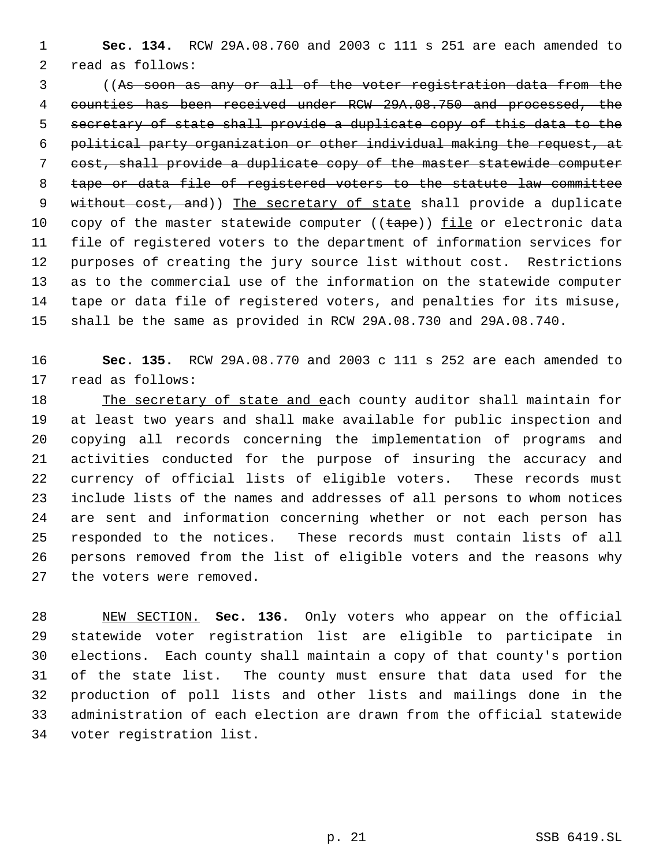**Sec. 134.** RCW 29A.08.760 and 2003 c 111 s 251 are each amended to read as follows:

 ((As soon as any or all of the voter registration data from the counties has been received under RCW 29A.08.750 and processed, the secretary of state shall provide a duplicate copy of this data to the political party organization or other individual making the request, at cost, shall provide a duplicate copy of the master statewide computer tape or data file of registered voters to the statute law committee 9 without cost, and)) The secretary of state shall provide a duplicate 10 copy of the master statewide computer ( $(\text{tape})$ ) file or electronic data file of registered voters to the department of information services for purposes of creating the jury source list without cost. Restrictions as to the commercial use of the information on the statewide computer tape or data file of registered voters, and penalties for its misuse, shall be the same as provided in RCW 29A.08.730 and 29A.08.740.

 **Sec. 135.** RCW 29A.08.770 and 2003 c 111 s 252 are each amended to read as follows:

 The secretary of state and each county auditor shall maintain for at least two years and shall make available for public inspection and copying all records concerning the implementation of programs and activities conducted for the purpose of insuring the accuracy and currency of official lists of eligible voters. These records must include lists of the names and addresses of all persons to whom notices are sent and information concerning whether or not each person has responded to the notices. These records must contain lists of all persons removed from the list of eligible voters and the reasons why the voters were removed.

 NEW SECTION. **Sec. 136.** Only voters who appear on the official statewide voter registration list are eligible to participate in elections. Each county shall maintain a copy of that county's portion of the state list. The county must ensure that data used for the production of poll lists and other lists and mailings done in the administration of each election are drawn from the official statewide voter registration list.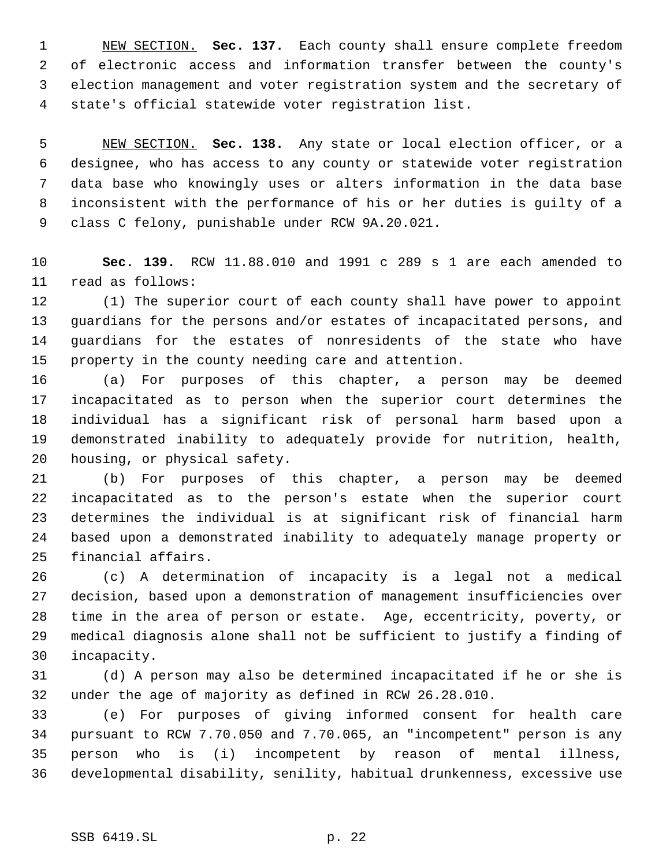NEW SECTION. **Sec. 137.** Each county shall ensure complete freedom of electronic access and information transfer between the county's election management and voter registration system and the secretary of state's official statewide voter registration list.

 NEW SECTION. **Sec. 138.** Any state or local election officer, or a designee, who has access to any county or statewide voter registration data base who knowingly uses or alters information in the data base inconsistent with the performance of his or her duties is guilty of a class C felony, punishable under RCW 9A.20.021.

 **Sec. 139.** RCW 11.88.010 and 1991 c 289 s 1 are each amended to read as follows:

 (1) The superior court of each county shall have power to appoint guardians for the persons and/or estates of incapacitated persons, and guardians for the estates of nonresidents of the state who have property in the county needing care and attention.

 (a) For purposes of this chapter, a person may be deemed incapacitated as to person when the superior court determines the individual has a significant risk of personal harm based upon a demonstrated inability to adequately provide for nutrition, health, housing, or physical safety.

 (b) For purposes of this chapter, a person may be deemed incapacitated as to the person's estate when the superior court determines the individual is at significant risk of financial harm based upon a demonstrated inability to adequately manage property or financial affairs.

 (c) A determination of incapacity is a legal not a medical decision, based upon a demonstration of management insufficiencies over time in the area of person or estate. Age, eccentricity, poverty, or medical diagnosis alone shall not be sufficient to justify a finding of incapacity.

 (d) A person may also be determined incapacitated if he or she is under the age of majority as defined in RCW 26.28.010.

 (e) For purposes of giving informed consent for health care pursuant to RCW 7.70.050 and 7.70.065, an "incompetent" person is any person who is (i) incompetent by reason of mental illness, developmental disability, senility, habitual drunkenness, excessive use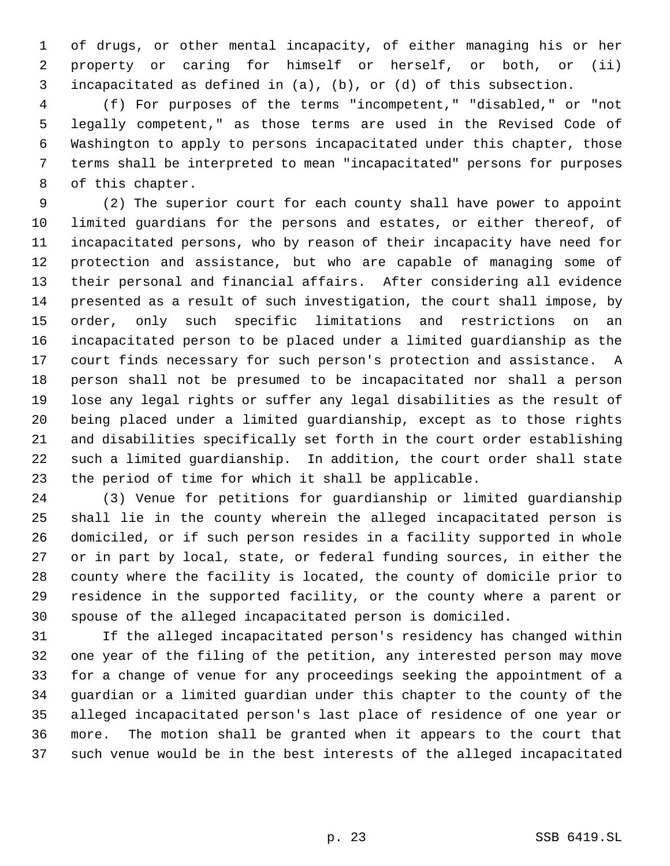of drugs, or other mental incapacity, of either managing his or her property or caring for himself or herself, or both, or (ii) incapacitated as defined in (a), (b), or (d) of this subsection.

 (f) For purposes of the terms "incompetent," "disabled," or "not legally competent," as those terms are used in the Revised Code of Washington to apply to persons incapacitated under this chapter, those terms shall be interpreted to mean "incapacitated" persons for purposes of this chapter.

 (2) The superior court for each county shall have power to appoint limited guardians for the persons and estates, or either thereof, of incapacitated persons, who by reason of their incapacity have need for protection and assistance, but who are capable of managing some of their personal and financial affairs. After considering all evidence presented as a result of such investigation, the court shall impose, by order, only such specific limitations and restrictions on an incapacitated person to be placed under a limited guardianship as the court finds necessary for such person's protection and assistance. A person shall not be presumed to be incapacitated nor shall a person lose any legal rights or suffer any legal disabilities as the result of being placed under a limited guardianship, except as to those rights and disabilities specifically set forth in the court order establishing such a limited guardianship. In addition, the court order shall state the period of time for which it shall be applicable.

 (3) Venue for petitions for guardianship or limited guardianship shall lie in the county wherein the alleged incapacitated person is domiciled, or if such person resides in a facility supported in whole or in part by local, state, or federal funding sources, in either the county where the facility is located, the county of domicile prior to residence in the supported facility, or the county where a parent or spouse of the alleged incapacitated person is domiciled.

 If the alleged incapacitated person's residency has changed within one year of the filing of the petition, any interested person may move for a change of venue for any proceedings seeking the appointment of a guardian or a limited guardian under this chapter to the county of the alleged incapacitated person's last place of residence of one year or more. The motion shall be granted when it appears to the court that such venue would be in the best interests of the alleged incapacitated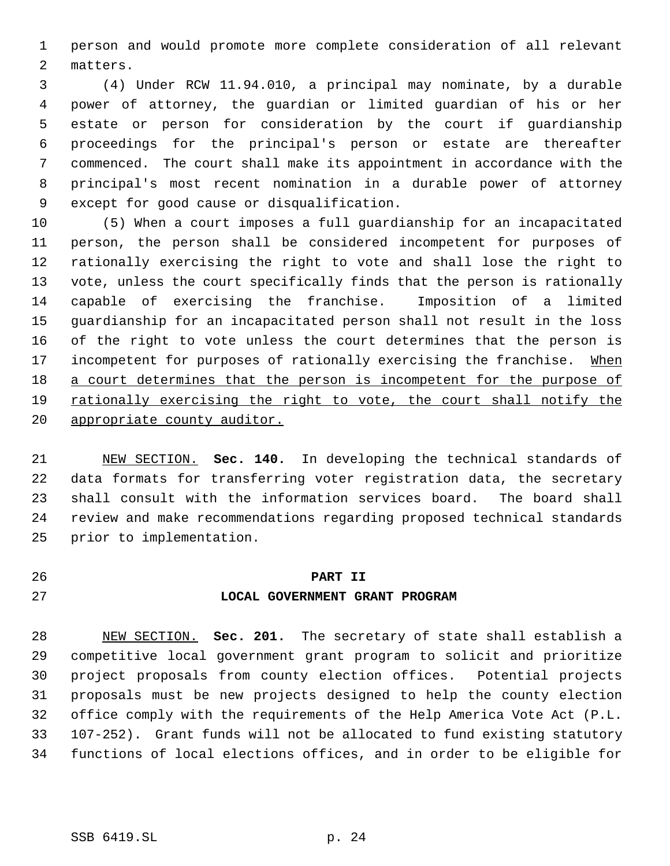person and would promote more complete consideration of all relevant matters.

 (4) Under RCW 11.94.010, a principal may nominate, by a durable power of attorney, the guardian or limited guardian of his or her estate or person for consideration by the court if guardianship proceedings for the principal's person or estate are thereafter commenced. The court shall make its appointment in accordance with the principal's most recent nomination in a durable power of attorney except for good cause or disqualification.

 (5) When a court imposes a full guardianship for an incapacitated person, the person shall be considered incompetent for purposes of rationally exercising the right to vote and shall lose the right to vote, unless the court specifically finds that the person is rationally capable of exercising the franchise. Imposition of a limited guardianship for an incapacitated person shall not result in the loss of the right to vote unless the court determines that the person is 17 incompetent for purposes of rationally exercising the franchise. When a court determines that the person is incompetent for the purpose of 19 rationally exercising the right to vote, the court shall notify the 20 appropriate county auditor.

 NEW SECTION. **Sec. 140.** In developing the technical standards of data formats for transferring voter registration data, the secretary shall consult with the information services board. The board shall review and make recommendations regarding proposed technical standards prior to implementation.

### **PART II**

### **LOCAL GOVERNMENT GRANT PROGRAM**

 NEW SECTION. **Sec. 201.** The secretary of state shall establish a competitive local government grant program to solicit and prioritize project proposals from county election offices. Potential projects proposals must be new projects designed to help the county election office comply with the requirements of the Help America Vote Act (P.L. 107-252). Grant funds will not be allocated to fund existing statutory functions of local elections offices, and in order to be eligible for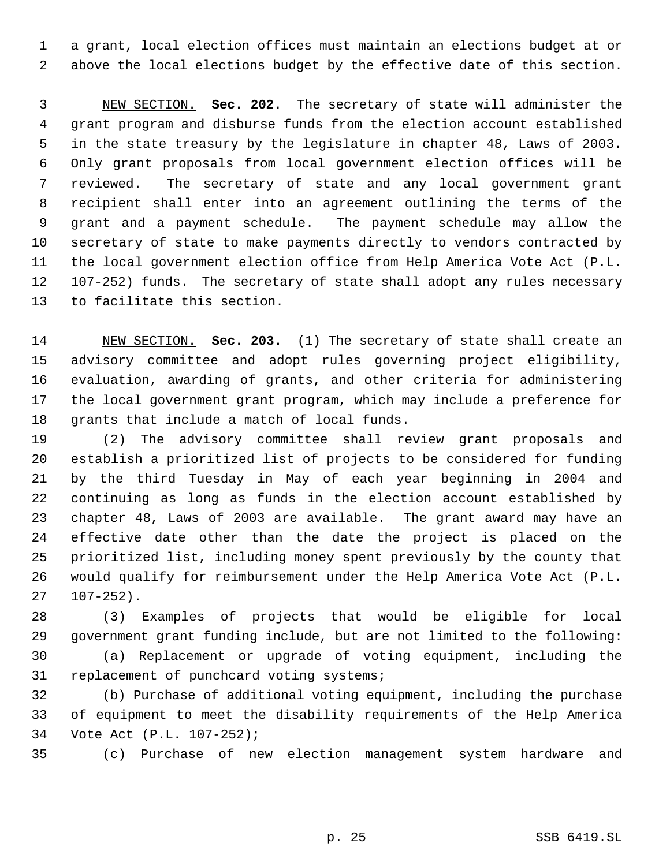a grant, local election offices must maintain an elections budget at or above the local elections budget by the effective date of this section.

 NEW SECTION. **Sec. 202.** The secretary of state will administer the grant program and disburse funds from the election account established in the state treasury by the legislature in chapter 48, Laws of 2003. Only grant proposals from local government election offices will be reviewed. The secretary of state and any local government grant recipient shall enter into an agreement outlining the terms of the grant and a payment schedule. The payment schedule may allow the secretary of state to make payments directly to vendors contracted by the local government election office from Help America Vote Act (P.L. 107-252) funds. The secretary of state shall adopt any rules necessary to facilitate this section.

 NEW SECTION. **Sec. 203.** (1) The secretary of state shall create an advisory committee and adopt rules governing project eligibility, evaluation, awarding of grants, and other criteria for administering the local government grant program, which may include a preference for grants that include a match of local funds.

 (2) The advisory committee shall review grant proposals and establish a prioritized list of projects to be considered for funding by the third Tuesday in May of each year beginning in 2004 and continuing as long as funds in the election account established by chapter 48, Laws of 2003 are available. The grant award may have an effective date other than the date the project is placed on the prioritized list, including money spent previously by the county that would qualify for reimbursement under the Help America Vote Act (P.L. 107-252).

 (3) Examples of projects that would be eligible for local government grant funding include, but are not limited to the following:

 (a) Replacement or upgrade of voting equipment, including the 31 replacement of punchcard voting systems;

 (b) Purchase of additional voting equipment, including the purchase of equipment to meet the disability requirements of the Help America Vote Act (P.L. 107-252);

(c) Purchase of new election management system hardware and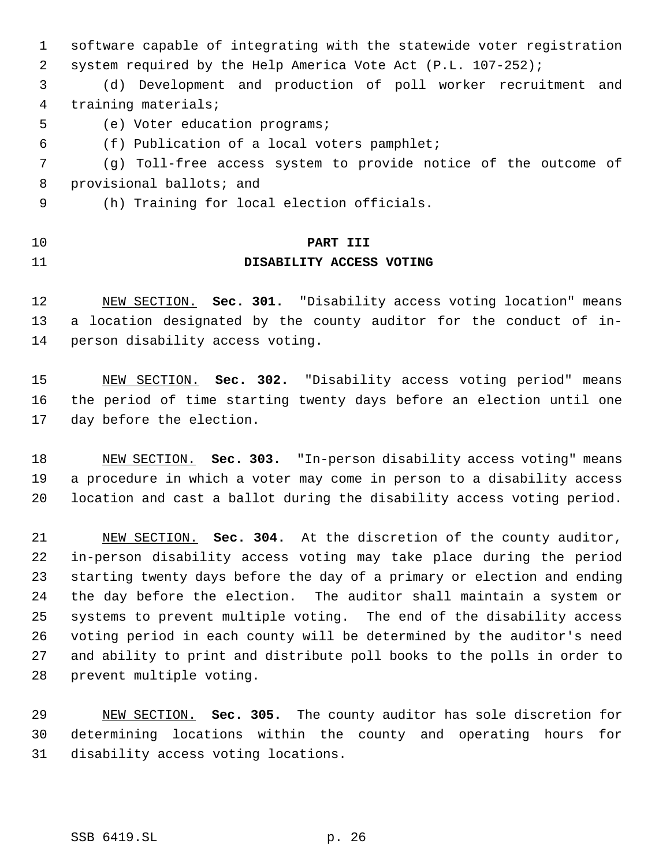software capable of integrating with the statewide voter registration system required by the Help America Vote Act (P.L. 107-252); (d) Development and production of poll worker recruitment and training materials; (e) Voter education programs;

(f) Publication of a local voters pamphlet;

 (g) Toll-free access system to provide notice of the outcome of provisional ballots; and

(h) Training for local election officials.

# **PART III**

#### **DISABILITY ACCESS VOTING**

 NEW SECTION. **Sec. 301.** "Disability access voting location" means a location designated by the county auditor for the conduct of in-person disability access voting.

 NEW SECTION. **Sec. 302.** "Disability access voting period" means the period of time starting twenty days before an election until one day before the election.

 NEW SECTION. **Sec. 303.** "In-person disability access voting" means a procedure in which a voter may come in person to a disability access location and cast a ballot during the disability access voting period.

 NEW SECTION. **Sec. 304.** At the discretion of the county auditor, in-person disability access voting may take place during the period starting twenty days before the day of a primary or election and ending the day before the election. The auditor shall maintain a system or systems to prevent multiple voting. The end of the disability access voting period in each county will be determined by the auditor's need and ability to print and distribute poll books to the polls in order to prevent multiple voting.

 NEW SECTION. **Sec. 305.** The county auditor has sole discretion for determining locations within the county and operating hours for disability access voting locations.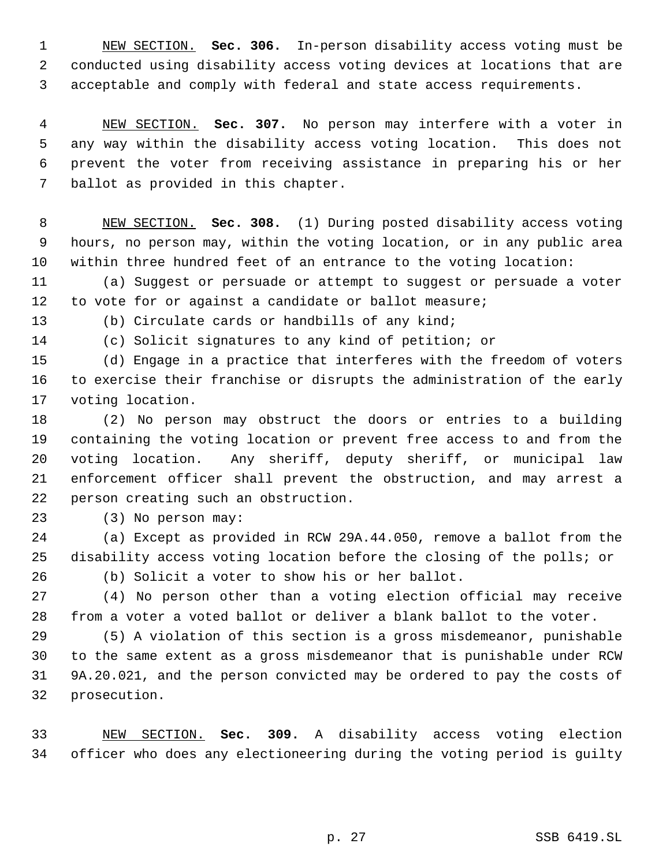NEW SECTION. **Sec. 306.** In-person disability access voting must be conducted using disability access voting devices at locations that are acceptable and comply with federal and state access requirements.

 NEW SECTION. **Sec. 307.** No person may interfere with a voter in any way within the disability access voting location. This does not prevent the voter from receiving assistance in preparing his or her ballot as provided in this chapter.

 NEW SECTION. **Sec. 308.** (1) During posted disability access voting hours, no person may, within the voting location, or in any public area within three hundred feet of an entrance to the voting location:

 (a) Suggest or persuade or attempt to suggest or persuade a voter to vote for or against a candidate or ballot measure;

(b) Circulate cards or handbills of any kind;

(c) Solicit signatures to any kind of petition; or

 (d) Engage in a practice that interferes with the freedom of voters to exercise their franchise or disrupts the administration of the early voting location.

 (2) No person may obstruct the doors or entries to a building containing the voting location or prevent free access to and from the voting location. Any sheriff, deputy sheriff, or municipal law enforcement officer shall prevent the obstruction, and may arrest a person creating such an obstruction.

(3) No person may:

 (a) Except as provided in RCW 29A.44.050, remove a ballot from the disability access voting location before the closing of the polls; or (b) Solicit a voter to show his or her ballot.

(4) No person other than a voting election official may receive

from a voter a voted ballot or deliver a blank ballot to the voter.

 (5) A violation of this section is a gross misdemeanor, punishable to the same extent as a gross misdemeanor that is punishable under RCW 9A.20.021, and the person convicted may be ordered to pay the costs of prosecution.

 NEW SECTION. **Sec. 309.** A disability access voting election officer who does any electioneering during the voting period is guilty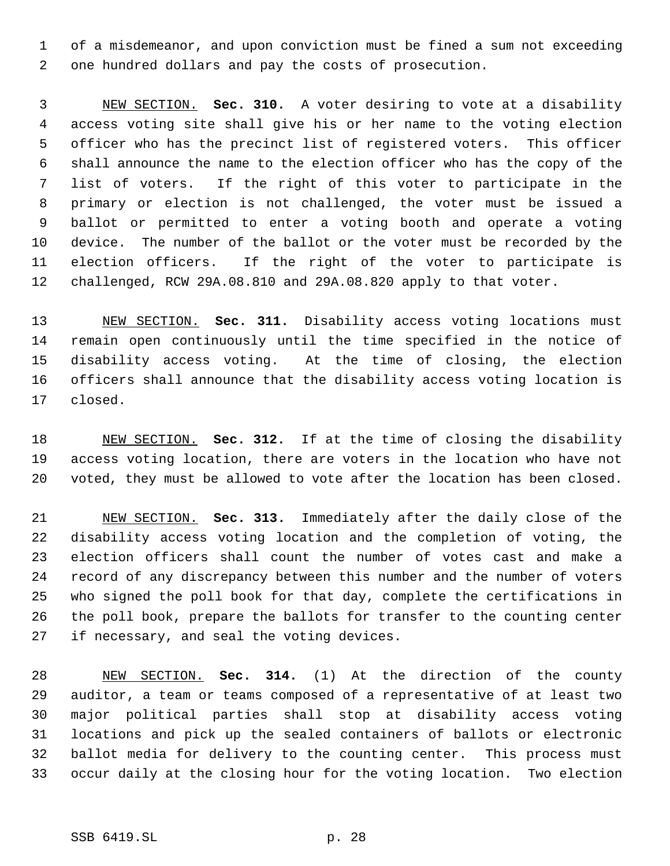of a misdemeanor, and upon conviction must be fined a sum not exceeding one hundred dollars and pay the costs of prosecution.

 NEW SECTION. **Sec. 310.** A voter desiring to vote at a disability access voting site shall give his or her name to the voting election officer who has the precinct list of registered voters. This officer shall announce the name to the election officer who has the copy of the list of voters. If the right of this voter to participate in the primary or election is not challenged, the voter must be issued a ballot or permitted to enter a voting booth and operate a voting device. The number of the ballot or the voter must be recorded by the election officers. If the right of the voter to participate is challenged, RCW 29A.08.810 and 29A.08.820 apply to that voter.

 NEW SECTION. **Sec. 311.** Disability access voting locations must remain open continuously until the time specified in the notice of disability access voting. At the time of closing, the election officers shall announce that the disability access voting location is closed.

 NEW SECTION. **Sec. 312.** If at the time of closing the disability access voting location, there are voters in the location who have not voted, they must be allowed to vote after the location has been closed.

 NEW SECTION. **Sec. 313.** Immediately after the daily close of the disability access voting location and the completion of voting, the election officers shall count the number of votes cast and make a record of any discrepancy between this number and the number of voters who signed the poll book for that day, complete the certifications in the poll book, prepare the ballots for transfer to the counting center if necessary, and seal the voting devices.

 NEW SECTION. **Sec. 314.** (1) At the direction of the county auditor, a team or teams composed of a representative of at least two major political parties shall stop at disability access voting locations and pick up the sealed containers of ballots or electronic ballot media for delivery to the counting center. This process must occur daily at the closing hour for the voting location. Two election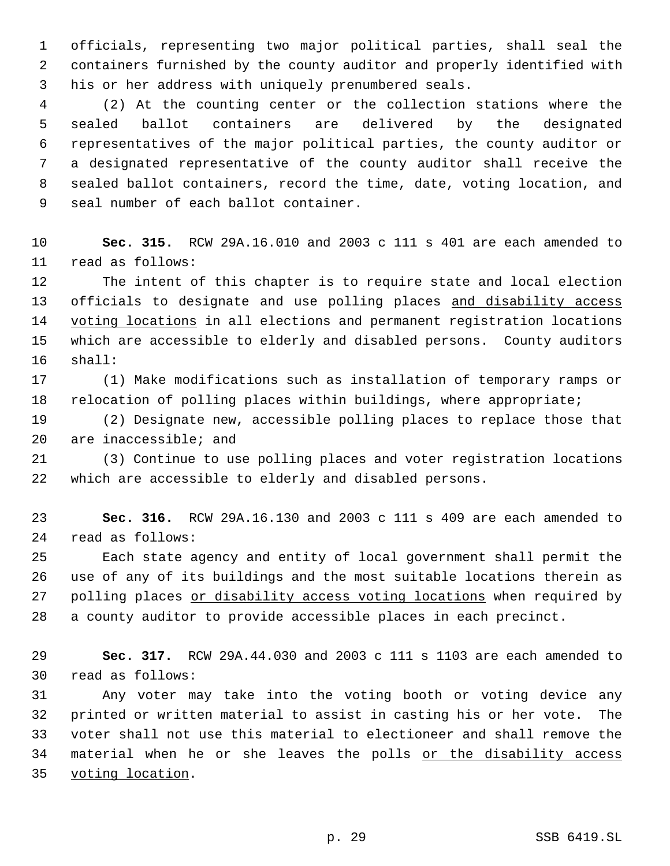officials, representing two major political parties, shall seal the containers furnished by the county auditor and properly identified with his or her address with uniquely prenumbered seals.

 (2) At the counting center or the collection stations where the sealed ballot containers are delivered by the designated representatives of the major political parties, the county auditor or a designated representative of the county auditor shall receive the sealed ballot containers, record the time, date, voting location, and seal number of each ballot container.

 **Sec. 315.** RCW 29A.16.010 and 2003 c 111 s 401 are each amended to read as follows:

 The intent of this chapter is to require state and local election officials to designate and use polling places and disability access 14 voting locations in all elections and permanent registration locations which are accessible to elderly and disabled persons. County auditors shall:

 (1) Make modifications such as installation of temporary ramps or relocation of polling places within buildings, where appropriate;

 (2) Designate new, accessible polling places to replace those that are inaccessible; and

 (3) Continue to use polling places and voter registration locations which are accessible to elderly and disabled persons.

 **Sec. 316.** RCW 29A.16.130 and 2003 c 111 s 409 are each amended to read as follows:

 Each state agency and entity of local government shall permit the use of any of its buildings and the most suitable locations therein as 27 polling places or disability access voting locations when required by a county auditor to provide accessible places in each precinct.

 **Sec. 317.** RCW 29A.44.030 and 2003 c 111 s 1103 are each amended to read as follows:

 Any voter may take into the voting booth or voting device any printed or written material to assist in casting his or her vote. The voter shall not use this material to electioneer and shall remove the 34 material when he or she leaves the polls or the disability access voting location.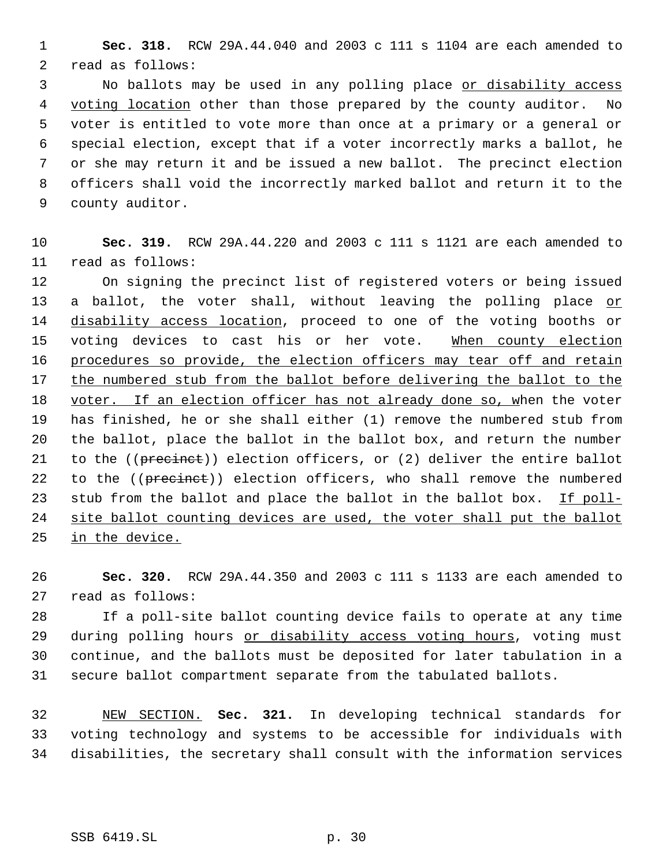**Sec. 318.** RCW 29A.44.040 and 2003 c 111 s 1104 are each amended to read as follows:

 No ballots may be used in any polling place or disability access 4 voting location other than those prepared by the county auditor. No voter is entitled to vote more than once at a primary or a general or special election, except that if a voter incorrectly marks a ballot, he or she may return it and be issued a new ballot. The precinct election officers shall void the incorrectly marked ballot and return it to the county auditor.

 **Sec. 319.** RCW 29A.44.220 and 2003 c 111 s 1121 are each amended to read as follows:

 On signing the precinct list of registered voters or being issued 13 a ballot, the voter shall, without leaving the polling place or 14 disability access location, proceed to one of the voting booths or 15 voting devices to cast his or her vote. When county election 16 procedures so provide, the election officers may tear off and retain the numbered stub from the ballot before delivering the ballot to the voter. If an election officer has not already done so, when the voter has finished, he or she shall either (1) remove the numbered stub from the ballot, place the ballot in the ballot box, and return the number 21 to the ((precinct)) election officers, or (2) deliver the entire ballot 22 to the ((precinct)) election officers, who shall remove the numbered 23 stub from the ballot and place the ballot in the ballot box. If poll- site ballot counting devices are used, the voter shall put the ballot in the device.

 **Sec. 320.** RCW 29A.44.350 and 2003 c 111 s 1133 are each amended to read as follows:

 If a poll-site ballot counting device fails to operate at any time 29 during polling hours or disability access voting hours, voting must continue, and the ballots must be deposited for later tabulation in a secure ballot compartment separate from the tabulated ballots.

 NEW SECTION. **Sec. 321.** In developing technical standards for voting technology and systems to be accessible for individuals with disabilities, the secretary shall consult with the information services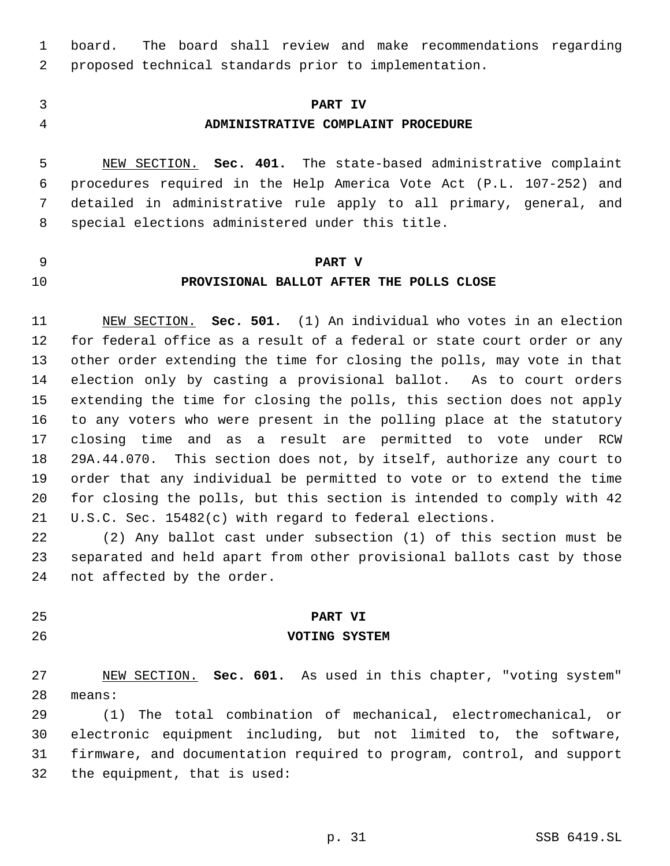board. The board shall review and make recommendations regarding proposed technical standards prior to implementation.

# **PART IV**

## **ADMINISTRATIVE COMPLAINT PROCEDURE**

 NEW SECTION. **Sec. 401.** The state-based administrative complaint procedures required in the Help America Vote Act (P.L. 107-252) and detailed in administrative rule apply to all primary, general, and special elections administered under this title.

# **PART V**

# **PROVISIONAL BALLOT AFTER THE POLLS CLOSE**

 NEW SECTION. **Sec. 501.** (1) An individual who votes in an election for federal office as a result of a federal or state court order or any other order extending the time for closing the polls, may vote in that election only by casting a provisional ballot. As to court orders extending the time for closing the polls, this section does not apply to any voters who were present in the polling place at the statutory closing time and as a result are permitted to vote under RCW 29A.44.070. This section does not, by itself, authorize any court to order that any individual be permitted to vote or to extend the time for closing the polls, but this section is intended to comply with 42 U.S.C. Sec. 15482(c) with regard to federal elections.

 (2) Any ballot cast under subsection (1) of this section must be separated and held apart from other provisional ballots cast by those not affected by the order.

- 
- 

# **PART VI**

#### **VOTING SYSTEM**

 NEW SECTION. **Sec. 601.** As used in this chapter, "voting system" means:

 (1) The total combination of mechanical, electromechanical, or electronic equipment including, but not limited to, the software, firmware, and documentation required to program, control, and support the equipment, that is used: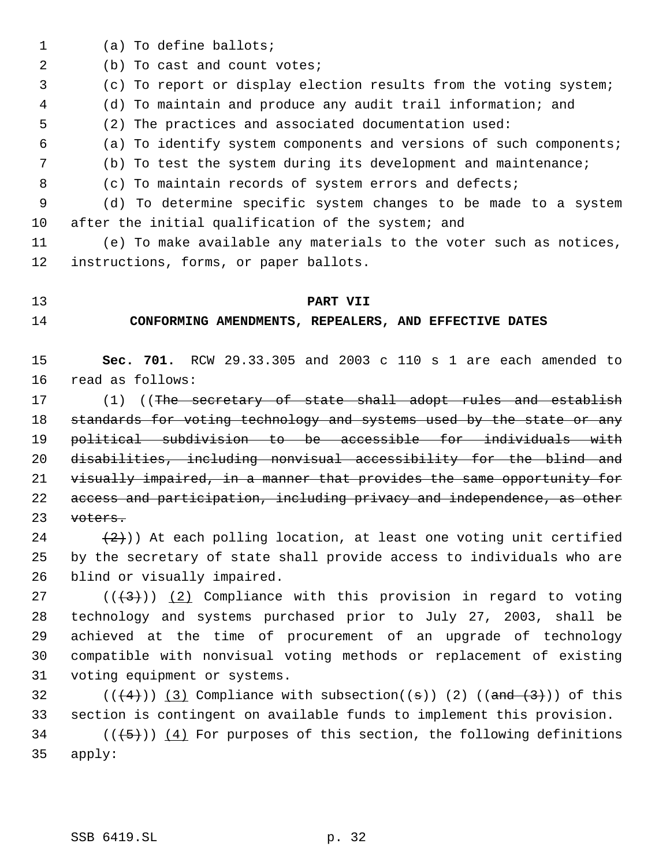- (a) To define ballots;
- 2 (b) To cast and count votes;
- (c) To report or display election results from the voting system;
- (d) To maintain and produce any audit trail information; and
- (2) The practices and associated documentation used:
- (a) To identify system components and versions of such components;
- (b) To test the system during its development and maintenance;
- 8 (c) To maintain records of system errors and defects;

 (d) To determine specific system changes to be made to a system after the initial qualification of the system; and

 (e) To make available any materials to the voter such as notices, instructions, forms, or paper ballots.

# **PART VII**

#### **CONFORMING AMENDMENTS, REPEALERS, AND EFFECTIVE DATES**

 **Sec. 701.** RCW 29.33.305 and 2003 c 110 s 1 are each amended to read as follows:

17 (1) ((The secretary of state shall adopt rules and establish 18 standards for voting technology and systems used by the state or any political subdivision to be accessible for individuals with disabilities, including nonvisual accessibility for the blind and 21 visually impaired, in a manner that provides the same opportunity for access and participation, including privacy and independence, as other voters.

24  $(2)$ )) At each polling location, at least one voting unit certified by the secretary of state shall provide access to individuals who are blind or visually impaired.

27 ( $(\overline{+3})$ ) (2) Compliance with this provision in regard to voting technology and systems purchased prior to July 27, 2003, shall be achieved at the time of procurement of an upgrade of technology compatible with nonvisual voting methods or replacement of existing voting equipment or systems.

32  $((\langle 4 \rangle) \rangle$  (3) Compliance with subsection((s)) (2) ((and (3))) of this section is contingent on available funds to implement this provision.

34 ( $(\overline{\smash{.6}})$ )  $\overline{\smash{.4}}$  For purposes of this section, the following definitions apply: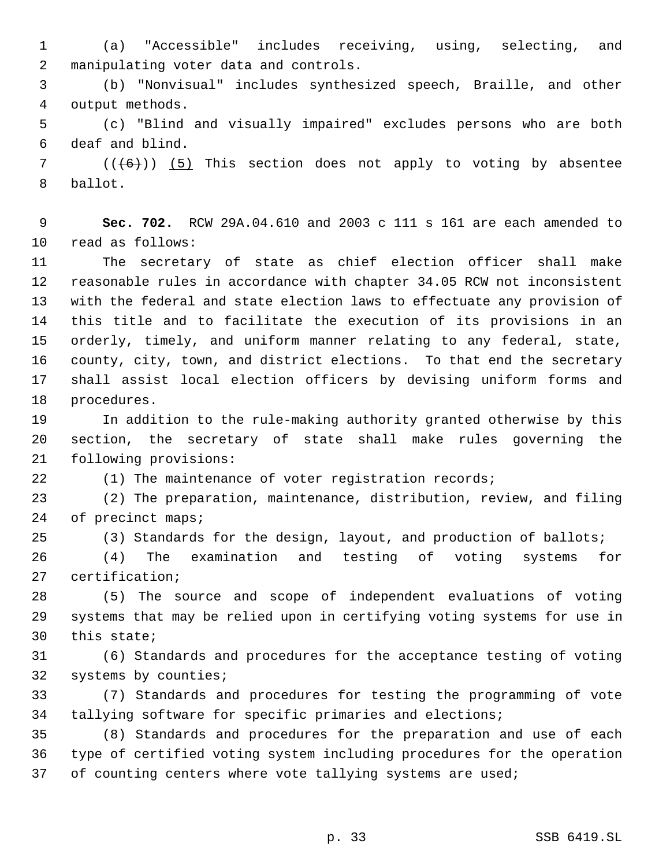(a) "Accessible" includes receiving, using, selecting, and manipulating voter data and controls.

 (b) "Nonvisual" includes synthesized speech, Braille, and other output methods.

 (c) "Blind and visually impaired" excludes persons who are both deaf and blind.

7  $((+6))$   $(5)$  This section does not apply to voting by absentee ballot.

 **Sec. 702.** RCW 29A.04.610 and 2003 c 111 s 161 are each amended to read as follows:

 The secretary of state as chief election officer shall make reasonable rules in accordance with chapter 34.05 RCW not inconsistent with the federal and state election laws to effectuate any provision of this title and to facilitate the execution of its provisions in an orderly, timely, and uniform manner relating to any federal, state, county, city, town, and district elections. To that end the secretary shall assist local election officers by devising uniform forms and procedures.

 In addition to the rule-making authority granted otherwise by this section, the secretary of state shall make rules governing the following provisions:

(1) The maintenance of voter registration records;

 (2) The preparation, maintenance, distribution, review, and filing of precinct maps;

(3) Standards for the design, layout, and production of ballots;

 (4) The examination and testing of voting systems for certification;

 (5) The source and scope of independent evaluations of voting systems that may be relied upon in certifying voting systems for use in this state;

 (6) Standards and procedures for the acceptance testing of voting systems by counties;

 (7) Standards and procedures for testing the programming of vote tallying software for specific primaries and elections;

 (8) Standards and procedures for the preparation and use of each type of certified voting system including procedures for the operation 37 of counting centers where vote tallying systems are used;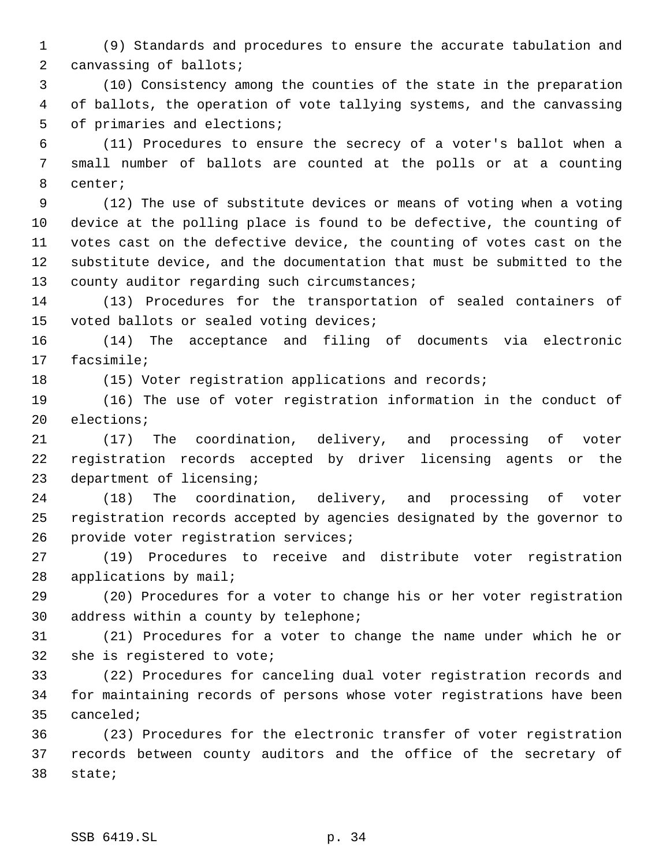(9) Standards and procedures to ensure the accurate tabulation and canvassing of ballots;

 (10) Consistency among the counties of the state in the preparation of ballots, the operation of vote tallying systems, and the canvassing of primaries and elections;

 (11) Procedures to ensure the secrecy of a voter's ballot when a small number of ballots are counted at the polls or at a counting center;

 (12) The use of substitute devices or means of voting when a voting device at the polling place is found to be defective, the counting of votes cast on the defective device, the counting of votes cast on the substitute device, and the documentation that must be submitted to the 13 county auditor regarding such circumstances;

 (13) Procedures for the transportation of sealed containers of voted ballots or sealed voting devices;

 (14) The acceptance and filing of documents via electronic facsimile;

18 (15) Voter registration applications and records;

 (16) The use of voter registration information in the conduct of elections;

 (17) The coordination, delivery, and processing of voter registration records accepted by driver licensing agents or the department of licensing;

 (18) The coordination, delivery, and processing of voter registration records accepted by agencies designated by the governor to provide voter registration services;

 (19) Procedures to receive and distribute voter registration applications by mail;

 (20) Procedures for a voter to change his or her voter registration address within a county by telephone;

 (21) Procedures for a voter to change the name under which he or she is registered to vote;

 (22) Procedures for canceling dual voter registration records and for maintaining records of persons whose voter registrations have been canceled;

 (23) Procedures for the electronic transfer of voter registration records between county auditors and the office of the secretary of state;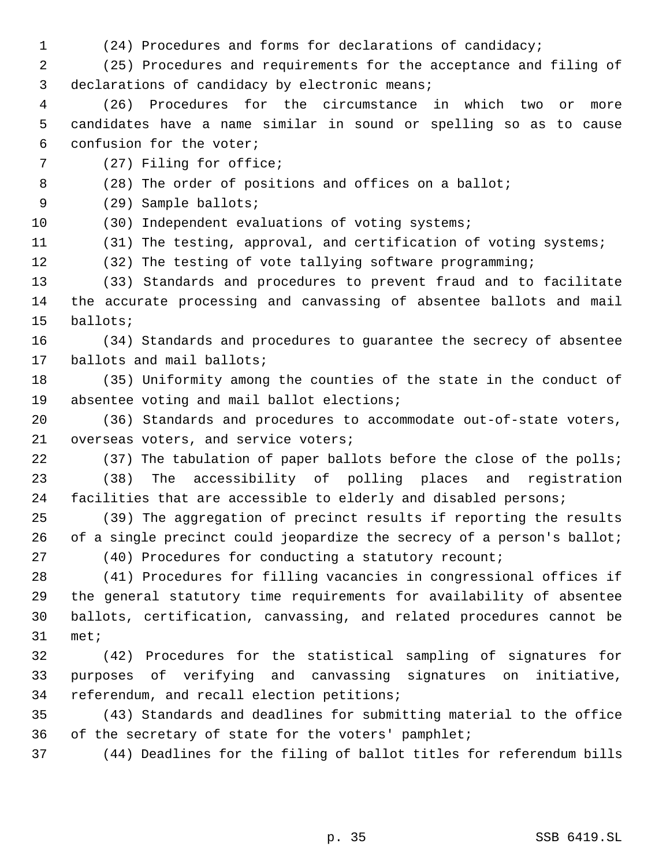(24) Procedures and forms for declarations of candidacy;

 (25) Procedures and requirements for the acceptance and filing of declarations of candidacy by electronic means;

 (26) Procedures for the circumstance in which two or more candidates have a name similar in sound or spelling so as to cause confusion for the voter;

7 (27) Filing for office;

8 (28) The order of positions and offices on a ballot;

(29) Sample ballots;

(30) Independent evaluations of voting systems;

(31) The testing, approval, and certification of voting systems;

(32) The testing of vote tallying software programming;

 (33) Standards and procedures to prevent fraud and to facilitate the accurate processing and canvassing of absentee ballots and mail ballots;

 (34) Standards and procedures to guarantee the secrecy of absentee ballots and mail ballots;

 (35) Uniformity among the counties of the state in the conduct of absentee voting and mail ballot elections;

 (36) Standards and procedures to accommodate out-of-state voters, overseas voters, and service voters;

22 (37) The tabulation of paper ballots before the close of the polls; (38) The accessibility of polling places and registration facilities that are accessible to elderly and disabled persons;

 (39) The aggregation of precinct results if reporting the results 26 of a single precinct could jeopardize the secrecy of a person's ballot; (40) Procedures for conducting a statutory recount;

(41) Procedures for filling vacancies in congressional offices if

 the general statutory time requirements for availability of absentee ballots, certification, canvassing, and related procedures cannot be met;

 (42) Procedures for the statistical sampling of signatures for purposes of verifying and canvassing signatures on initiative, referendum, and recall election petitions;

 (43) Standards and deadlines for submitting material to the office of the secretary of state for the voters' pamphlet;

(44) Deadlines for the filing of ballot titles for referendum bills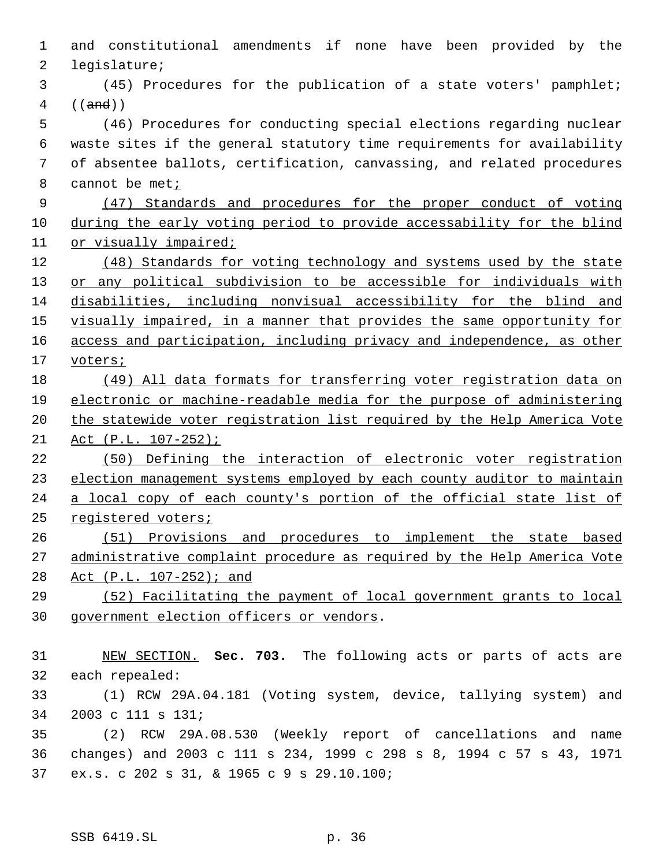| $\mathbf{1}$ | and constitutional amendments if none have been provided by the         |
|--------------|-------------------------------------------------------------------------|
| 2            | legislature;                                                            |
| 3            | (45) Procedures for the publication of a state voters' pamphlet;        |
| 4            | ((and))                                                                 |
| 5            | (46) Procedures for conducting special elections regarding nuclear      |
| 6            | waste sites if the general statutory time requirements for availability |
| 7            | of absentee ballots, certification, canvassing, and related procedures  |
| 8            | cannot be met;                                                          |
| 9            | (47) Standards and procedures for the proper conduct of voting          |
| 10           | during the early voting period to provide accessability for the blind   |
| 11           | or visually impaired;                                                   |
| 12           | (48) Standards for voting technology and systems used by the state      |
| 13           | or any political subdivision to be accessible for individuals with      |
| 14           | disabilities, including nonvisual accessibility for the blind and       |
| 15           | visually impaired, in a manner that provides the same opportunity for   |
| 16           | access and participation, including privacy and independence, as other  |
| 17           | voters;                                                                 |
| 18           | (49) All data formats for transferring voter registration data on       |
| 19           | electronic or machine-readable media for the purpose of administering   |
| 20           | the statewide voter registration list required by the Help America Vote |
| 21           | Act $(P.L. 107-252)$ ;                                                  |
| 22           | Defining the interaction of electronic voter registration<br>(50)       |
| 23           | election management systems employed by each county auditor to maintain |
| 24           | a local copy of each county's portion of the official state list of     |
| 25           | registered voters;                                                      |
| 26           | (51) Provisions and procedures to implement the state based             |
| 27           | administrative complaint procedure as required by the Help America Vote |
| 28           | Act (P.L. 107-252); and                                                 |
| 29           | (52) Facilitating the payment of local government grants to local       |
| 30           | government election officers or vendors.                                |
|              |                                                                         |
| 31           | NEW SECTION. Sec. 703. The following acts or parts of acts are          |
| 32           | each repealed:                                                          |
| 33           | (1) RCW 29A.04.181 (Voting system, device, tallying system) and         |
|              |                                                                         |
| 34           | 2003 c 111 s 131;                                                       |
| 35           | (2) RCW 29A.08.530 (Weekly report of cancellations and name             |
| 36           | changes) and 2003 c 111 s 234, 1999 c 298 s 8, 1994 c 57 s 43, 1971     |